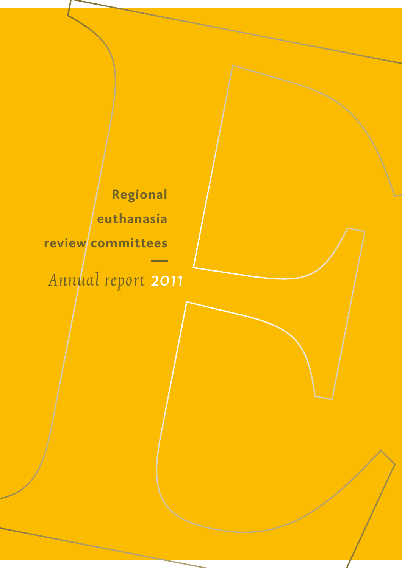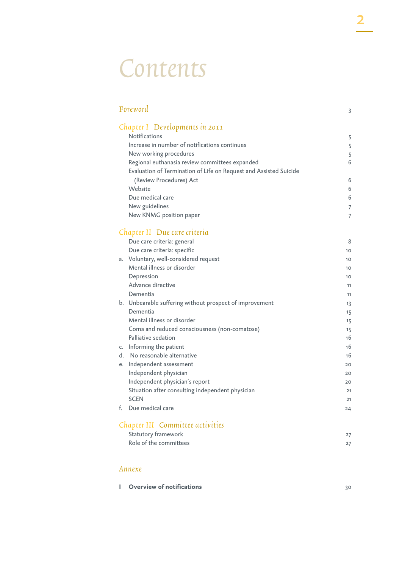# Contents

| Foreword                                                          | 3  |
|-------------------------------------------------------------------|----|
| Chapter I Developments in 2011                                    |    |
| Notifications                                                     | 5  |
| Increase in number of notifications continues                     | 5  |
| New working procedures                                            | 5  |
| Regional euthanasia review committees expanded                    | 6  |
| Evaluation of Termination of Life on Request and Assisted Suicide |    |
| (Review Procedures) Act                                           | 6  |
| Website                                                           | 6  |
| Due medical care                                                  | 6  |
| New guidelines                                                    | 7  |
| New KNMG position paper                                           | 7  |
|                                                                   |    |
| Chapter II Due care criteria                                      |    |
| Due care criteria: general                                        | 8  |
| Due care criteria: specific                                       | 10 |
| a. Voluntary, well-considered request                             | 10 |
| Mental illness or disorder                                        | 10 |
| Depression                                                        | 10 |
| Advance directive                                                 | 11 |
| Dementia                                                          | 11 |
| b. Unbearable suffering without prospect of improvement           | 13 |
| Dementia                                                          | 15 |
| Mental illness or disorder                                        | 15 |
| Coma and reduced consciousness (non-comatose)                     | 15 |
| Palliative sedation                                               | 16 |
| c. Informing the patient                                          | 16 |
| d. No reasonable alternative                                      | 16 |
| e. Independent assessment                                         | 20 |
| Independent physician                                             | 20 |
| Independent physician's report                                    | 20 |
| Situation after consulting independent physician                  | 21 |
| <b>SCEN</b>                                                       | 21 |
| Due medical care<br>f.                                            | 24 |
| Chapter III Committee activities                                  |    |
| Statutory framework                                               | 27 |
| Role of the committees                                            | 27 |

#### Annexe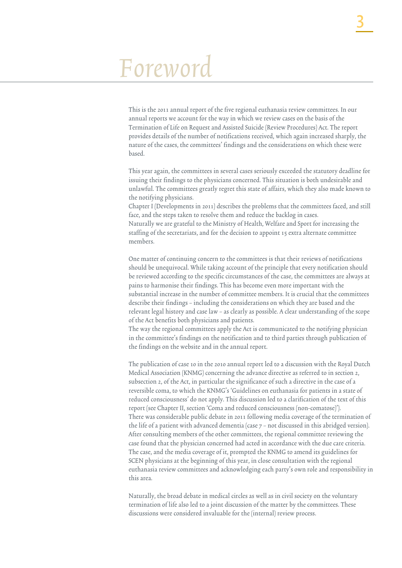# Foreword

This is the 2011 annual report of the five regional euthanasia review committees. In our annual reports we account for the way in which we review cases on the basis of the Termination of Life on Request and Assisted Suicide (Review Procedures) Act. The report provides details of the number of notifications received, which again increased sharply, the nature of the cases, the committees' findings and the considerations on which these were based.

This year again, the committees in several cases seriously exceeded the statutory deadline for issuing their findings to the physicians concerned. This situation is both undesirable and unlawful. The committees greatly regret this state of affairs, which they also made known to the notifying physicians.

Chapter I (Developments in 2011) describes the problems that the committees faced, and still face, and the steps taken to resolve them and reduce the backlog in cases.

Naturally we are grateful to the Ministry of Health, Welfare and Sport for increasing the staffing of the secretariats, and for the decision to appoint 15 extra alternate committee members.

One matter of continuing concern to the committees is that their reviews of notifications should be unequivocal. While taking account of the principle that every notification should be reviewed according to the specific circumstances of the case, the committees are always at pains to harmonise their findings. This has become even more important with the substantial increase in the number of committee members. It is crucial that the committees describe their findings – including the considerations on which they are based and the relevant legal history and case law – as clearly as possible. A clear understanding of the scope of the Act benefits both physicians and patients.

The way the regional committees apply the Act is communicated to the notifying physician in the committee's findings on the notification and to third parties through publication of the findings on the website and in the annual report.

The publication of case 10 in the 2010 annual report led to a discussion with the Royal Dutch Medical Association (KNMG) concerning the advance directive as referred to in section 2, subsection 2, of the Act, in particular the significance of such a directive in the case of a reversible coma, to which the KNMG's 'Guidelines on euthanasia for patients in a state of reduced consciousness' do not apply. This discussion led to a clarification of the text of this report (see Chapter II, section 'Coma and reduced consciousness (non-comatose)'). There was considerable public debate in 2011 following media coverage of the termination of the life of a patient with advanced dementia (case  $7 -$  not discussed in this abridged version). After consulting members of the other committees, the regional committee reviewing the case found that the physician concerned had acted in accordance with the due care criteria. The case, and the media coverage of it, prompted the KNMG to amend its guidelines for SCEN physicians at the beginning of this year, in close consultation with the regional euthanasia review committees and acknowledging each party's own role and responsibility in this area.

Naturally, the broad debate in medical circles as well as in civil society on the voluntary termination of life also led to a joint discussion of the matter by the committees. These discussions were considered invaluable for the (internal) review process.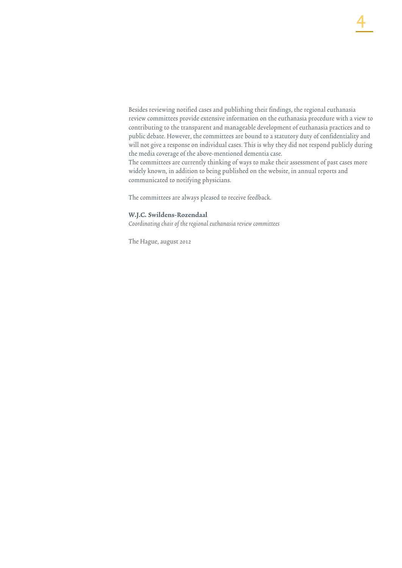Besides reviewing notified cases and publishing their findings, the regional euthanasia review committees provide extensive information on the euthanasia procedure with a view to contributing to the transparent and manageable development of euthanasia practices and to public debate. However, the committees are bound to a statutory duty of confidentiality and will not give a response on individual cases. This is why they did not respond publicly during the media coverage of the above-mentioned dementia case.

The committees are currently thinking of ways to make their assessment of past cases more widely known, in addition to being published on the website, in annual reports and communicated to notifying physicians.

The committees are always pleased to receive feedback.

#### W.J.C. Swildens-Rozendaal

Coordinating chair of the regional euthanasia review committees

The Hague, august 2012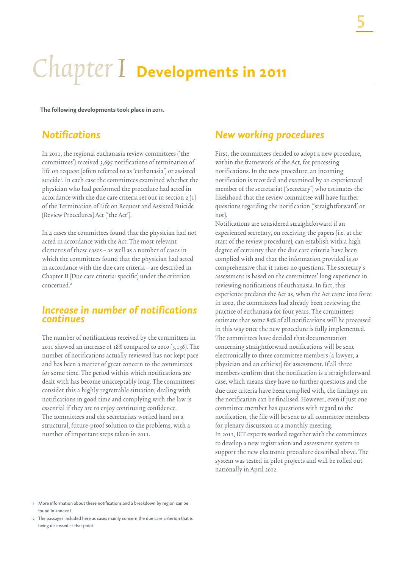# Chapter I **Developments in 2011**

**The following developments took place in 2011.**

## *Notifications*

In 2011, the regional euthanasia review committees ('the committees') received 3,695 notifications of termination of life on request (often referred to as 'euthanasia') or assisted suicide<sup>1</sup>. In each case the committees examined whether the physician who had performed the procedure had acted in accordance with the due care criteria set out in section 2 (1) of the Termination of Life on Request and Assisted Suicide (Review Procedures) Act ('the Act').

In 4 cases the committees found that the physician had not acted in accordance with the Act. The most relevant elements of these cases – as well as a number of cases in which the committees found that the physician had acted in accordance with the due care criteria – are described in Chapter II (Due care criteria: specific) under the criterion concerned.<sup>2</sup>

#### *Increase in number of notifications continues*

The number of notifications received by the committees in 2011 showed an increase of 18% compared to 2010 (3,136). The number of notifications actually reviewed has not kept pace and has been a matter of great concern to the committees for some time. The period within which notifications are dealt with has become unacceptably long. The committees consider this a highly regrettable situation; dealing with notifications in good time and complying with the law is essential if they are to enjoy continuing confidence. The committees and the secretariats worked hard on a structural, future-proof solution to the problems, with a number of important steps taken in 2011.

# *New working procedures*

First, the committees decided to adopt a new procedure, within the framework of the Act, for processing notifications. In the new procedure, an incoming notification is recorded and examined by an experienced member of the secretariat ('secretary') who estimates the likelihood that the review committee will have further questions regarding the notification ('straightforward' or not).

Notifications are considered straightforward if an experienced secretary, on receiving the papers (i.e. at the start of the review procedure), can establish with a high degree of certainty that the due care criteria have been complied with and that the information provided is so comprehensive that it raises no questions. The secretary's assessment is based on the committees' long experience in reviewing notifications of euthanasia. In fact, this experience predates the Act as, when the Act came into force in 2002, the committees had already been reviewing the practice of euthanasia for four years. The committees estimate that some 80% of all notifications will be processed in this way once the new procedure is fully implemented. The committees have decided that documentation concerning straightforward notifications will be sent electronically to three committee members (a lawyer, a physician and an ethicist) for assessment. If all three members confirm that the notification is a straightforward case, which means they have no further questions and the due care criteria have been complied with, the findings on the notification can be finalised. However, even if just one committee member has questions with regard to the notification, the file will be sent to all committee members for plenary discussion at a monthly meeting. In 2011, ICT experts worked together with the committees to develop a new registration and assessment system to support the new electronic procedure described above. The system was tested in pilot projects and will be rolled out nationally in April 2012.

More information about these notifications and a breakdown by region can be found in annexe I.

<sup>2</sup> The passages included here as cases mainly concern the due care criterion that is being discussed at that point.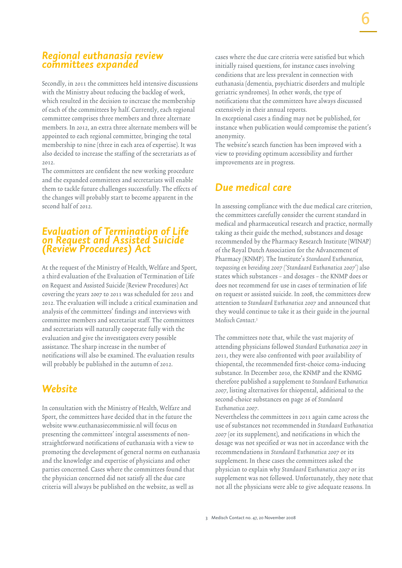Secondly, in 2011 the committees held intensive discussions with the Ministry about reducing the backlog of work, which resulted in the decision to increase the membership of each of the committees by half. Currently, each regional committee comprises three members and three alternate members. In 2012, an extra three alternate members will be appointed to each regional committee, bringing the total membership to nine (three in each area of expertise). It was also decided to increase the staffing of the secretariats as of 2012.

The committees are confident the new working procedure and the expanded committees and secretariats will enable them to tackle future challenges successfully. The effects of the changes will probably start to become apparent in the second half of 2012.

#### *Evaluation of Termination of Life on Request and Assisted Suicide (Review Procedures) Act*

At the request of the Ministry of Health, Welfare and Sport, a third evaluation of the Evaluation of Termination of Life on Request and Assisted Suicide (Review Procedures) Act covering the years 2007 to 2011 was scheduled for 2011 and 2012. The evaluation will include a critical examination and analysis of the committees' findings and interviews with committee members and secretariat staff. The committees and secretariats will naturally cooperate fully with the evaluation and give the investigators every possible assistance. The sharp increase in the number of notifications will also be examined. The evaluation results will probably be published in the autumn of 2012.

# *Website*

In consultation with the Ministry of Health, Welfare and Sport, the committees have decided that in the future the website www.euthanasiecommissie.nl will focus on presenting the committees' integral assessments of nonstraightforward notifications of euthanasia with a view to promoting the development of general norms on euthanasia and the knowledge and expertise of physicians and other parties concerned. Cases where the committees found that the physician concerned did not satisfy all the due care criteria will always be published on the website, as well as

cases where the due care criteria were satisfied but which initially raised questions, for instance cases involving conditions that are less prevalent in connection with euthanasia (dementia, psychiatric disorders and multiple geriatric syndromes). In other words, the type of notifications that the committees have always discussed extensively in their annual reports.

In exceptional cases a finding may not be published, for instance when publication would compromise the patient's anonymity.

The website's search function has been improved with a view to providing optimum accessibility and further improvements are in progress.

# *Due medical care*

In assessing compliance with the due medical care criterion, the committees carefully consider the current standard in medical and pharmaceutical research and practice, normally taking as their guide the method, substances and dosage recommended by the Pharmacy Research Institute (WINAP) of the Royal Dutch Association for the Advancement of Pharmacy (KNMP). The Institute's Standaard Euthanatica, toepassing en bereiding 2007 ('Standaard Euthanatica 2007') also states which substances – and dosages – the KNMP does or does not recommend for use in cases of termination of life on request or assisted suicide. In 2008, the committees drew attention to Standaard Euthanatica 2007 and announced that they would continue to take it as their guide in the journal Medisch Contact. 3

The committees note that, while the vast majority of attending physicians followed Standard Euthanatica 2007 in 2011, they were also confronted with poor availability of thiopental, the recommended first-choice coma-inducing substance. In December 2010, the KNMP and the KNMG therefore published a supplement to Standaard Euthanatica 2007, listing alternatives for thiopental, additional to the second-choice substances on page 26 of Standaard Euthanatica 2007.

Nevertheless the committees in 2011 again came across the use of substances not recommended in Standaard Euthanatica 2007 (or its supplement), and notifications in which the dosage was not specified or was not in accordance with the recommendations in Standaard Euthanatica 2007 or its supplement. In these cases the committees asked the physician to explain why Standaard Euthanatica 2007 or its supplement was not followed. Unfortunately, they note that not all the physicians were able to give adequate reasons. In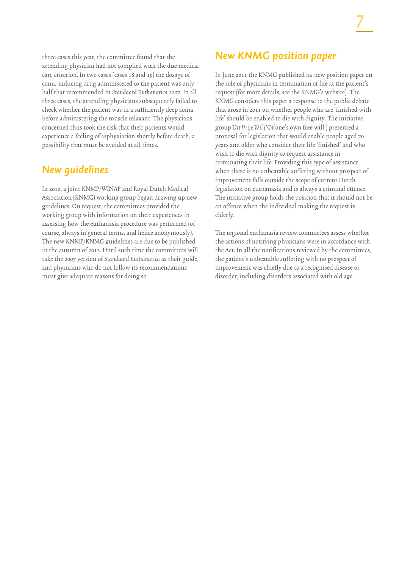three cases this year, the committee found that the attending physician had not complied with the due medical care criterion. In two cases (cases 18 and 19) the dosage of coma-inducing drug administered to the patient was only half that recommended in Standaard Euthanatica 2007. In all three cases, the attending physicians subsequently failed to check whether the patient was in a sufficiently deep coma before administering the muscle relaxant. The physicians concerned thus took the risk that their patients would experience a feeling of asphyxiation shortly before death, a possibility that must be avoided at all times.

# *New guidelines*

In 2010, a joint KNMP/WINAP and Royal Dutch Medical Association (KNMG) working group began drawing up new guidelines. On request, the committees provided the working group with information on their experiences in assessing how the euthanasia procedure was performed (of course, always in general terms, and hence anonymously). The new KNMP/KNMG guidelines are due to be published in the autumn of 2012. Until such time the committees will take the 2007 version of Standaard Euthanatica as their guide, and physicians who do not follow its recommendations must give adequate reasons for doing so.

# *New KNMG position paper*

In June 2011 the KNMG published its new position paper on the role of physicians in termination of life at the patient's request (for more details, see the KNMG's website). The KNMG considers this paper a response to the public debate that arose in 2011 on whether people who are 'finished with life' should be enabled to die with dignity. The initiative group Uit Vrije Wil ('Of one's own free will') presented a proposal for legislation that would enable people aged 70 years and older who consider their life 'finished' and who wish to die with dignity to request assistance in terminating their life. Providing this type of assistance when there is no unbearable suffering without prospect of improvement falls outside the scope of current Dutch legislation on euthanasia and is always a criminal offence. The initiative group holds the position that it should not be an offence when the individual making the request is elderly.

The regional euthanasia review committees assess whether the actions of notifying physicians were in accordance with the Act. In all the notifications reviewed by the committees, the patient's unbearable suffering with no prospect of improvement was chiefly due to a recognised disease or disorder, including disorders associated with old age.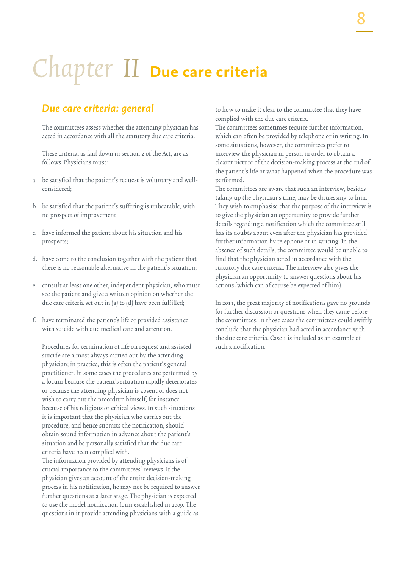# Chapter II **Due care criteria**

## *Due care criteria: general*

The committees assess whether the attending physician has acted in accordance with all the statutory due care criteria.

These criteria, as laid down in section 2 of the Act, are as follows. Physicians must:

- a. be satisfied that the patient's request is voluntary and wellconsidered;
- b. be satisfied that the patient's suffering is unbearable, with no prospect of improvement;
- c. have informed the patient about his situation and his prospects;
- d. have come to the conclusion together with the patient that there is no reasonable alternative in the patient's situation;
- e. consult at least one other, independent physician, who must see the patient and give a written opinion on whether the due care criteria set out in (a) to (d) have been fulfilled;
- f. have terminated the patient's life or provided assistance with suicide with due medical care and attention.

Procedures for termination of life on request and assisted suicide are almost always carried out by the attending physician; in practice, this is often the patient's general practitioner. In some cases the procedures are performed by a locum because the patient's situation rapidly deteriorates or because the attending physician is absent or does not wish to carry out the procedure himself, for instance because of his religious or ethical views. In such situations it is important that the physician who carries out the procedure, and hence submits the notification, should obtain sound information in advance about the patient's situation and be personally satisfied that the due care criteria have been complied with.

The information provided by attending physicians is of crucial importance to the committees' reviews. If the physician gives an account of the entire decision-making process in his notification, he may not be required to answer further questions at a later stage. The physician is expected to use the model notification form established in 2009. The questions in it provide attending physicians with a guide as

to how to make it clear to the committee that they have complied with the due care criteria.

The committees sometimes require further information, which can often be provided by telephone or in writing. In some situations, however, the committees prefer to interview the physician in person in order to obtain a clearer picture of the decision-making process at the end of the patient's life or what happened when the procedure was performed.

The committees are aware that such an interview, besides taking up the physician's time, may be distressing to him. They wish to emphasise that the purpose of the interview is to give the physician an opportunity to provide further details regarding a notification which the committee still has its doubts about even after the physician has provided further information by telephone or in writing. In the absence of such details, the committee would be unable to find that the physician acted in accordance with the statutory due care criteria. The interview also gives the physician an opportunity to answer questions about his actions (which can of course be expected of him).

In 2011, the great majority of notifications gave no grounds for further discussion or questions when they came before the committees. In those cases the committees could swiftly conclude that the physician had acted in accordance with the due care criteria. Case 1 is included as an example of such a notification.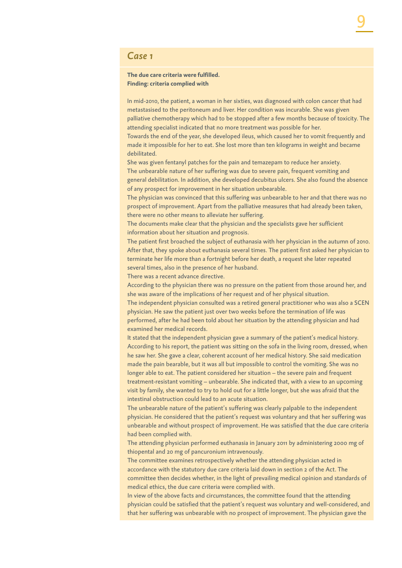#### *Case 1*

#### **The due care criteria were fulfilled. Finding: criteria complied with**

In mid-2010, the patient, a woman in her sixties, was diagnosed with colon cancer that had metastasised to the peritoneum and liver. Her condition was incurable. She was given palliative chemotherapy which had to be stopped after a few months because of toxicity. The attending specialist indicated that no more treatment was possible for her. Towards the end of the year, she developed ileus, which caused her to vomit frequently and

made it impossible for her to eat. She lost more than ten kilograms in weight and became debilitated.

She was given fentanyl patches for the pain and temazepam to reduce her anxiety. The unbearable nature of her suffering was due to severe pain, frequent vomiting and general debilitation. In addition, she developed decubitus ulcers. She also found the absence of any prospect for improvement in her situation unbearable.

The physician was convinced that this suffering was unbearable to her and that there was no prospect of improvement. Apart from the palliative measures that had already been taken, there were no other means to alleviate her suffering.

The documents make clear that the physician and the specialists gave her sufficient information about her situation and prognosis.

The patient first broached the subject of euthanasia with her physician in the autumn of 2010. After that, they spoke about euthanasia several times. The patient first asked her physician to terminate her life more than a fortnight before her death, a request she later repeated several times, also in the presence of her husband.

There was a recent advance directive.

According to the physician there was no pressure on the patient from those around her, and she was aware of the implications of her request and of her physical situation.

The independent physician consulted was a retired general practitioner who was also a SCEN physician. He saw the patient just over two weeks before the termination of life was performed, after he had been told about her situation by the attending physician and had examined her medical records.

It stated that the independent physician gave a summary of the patient's medical history. According to his report, the patient was sitting on the sofa in the living room, dressed, when he saw her. She gave a clear, coherent account of her medical history. She said medication made the pain bearable, but it was all but impossible to control the vomiting. She was no longer able to eat. The patient considered her situation – the severe pain and frequent treatment-resistant vomiting – unbearable. She indicated that, with a view to an upcoming visit by family, she wanted to try to hold out for a little longer, but she was afraid that the intestinal obstruction could lead to an acute situation.

The unbearable nature of the patient's suffering was clearly palpable to the independent physician. He considered that the patient's request was voluntary and that her suffering was unbearable and without prospect of improvement. He was satisfied that the due care criteria had been complied with.

The attending physician performed euthanasia in January 2011 by administering 2000 mg of thiopental and 20 mg of pancuronium intravenously.

The committee examines retrospectively whether the attending physician acted in accordance with the statutory due care criteria laid down in section 2 of the Act. The committee then decides whether, in the light of prevailing medical opinion and standards of medical ethics, the due care criteria were complied with.

In view of the above facts and circumstances, the committee found that the attending physician could be satisfied that the patient's request was voluntary and well-considered, and that her suffering was unbearable with no prospect of improvement. The physician gave the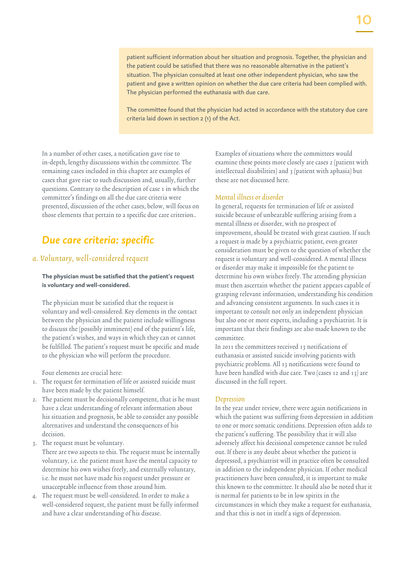patient sufficient information about her situation and prognosis. Together, the physician and

10

the patient could be satisfied that there was no reasonable alternative in the patient's situation. The physician consulted at least one other independent physician, who saw the patient and gave a written opinion on whether the due care criteria had been complied with. The physician performed the euthanasia with due care.

The committee found that the physician had acted in accordance with the statutory due care criteria laid down in section 2 (1) of the Act.

In a number of other cases, a notification gave rise to in-depth, lengthy discussions within the committee. The remaining cases included in this chapter are examples of cases that gave rise to such discussion and, usually, further questions. Contrary to the description of case 1 in which the committee's findings on all the due care criteria were presented, discussion of the other cases, below, will focus on those elements that pertain to a specific due care criterion..

# *Due care criteria: specific*

#### a. Voluntary, well-considered request

**The physician must be satisfied that the patient's request is voluntary and well-considered.**

The physician must be satisfied that the request is voluntary and well-considered. Key elements in the contact between the physician and the patient include willingness to discuss the (possibly imminent) end of the patient's life, the patient's wishes, and ways in which they can or cannot be fulfilled. The patient's request must be specific and made to the physician who will perform the procedure.

Four elements are crucial here:

- 1. The request for termination of life or assisted suicide must have been made by the patient himself.
- 2. The patient must be decisionally competent, that is he must have a clear understanding of relevant information about his situation and prognosis, be able to consider any possible alternatives and understand the consequences of his decision.
- 3. The request must be voluntary.
- There are two aspects to this. The request must be internally voluntary, i.e. the patient must have the mental capacity to determine his own wishes freely, and externally voluntary, i.e. he must not have made his request under pressure or unacceptable influence from those around him.
- 4. The request must be well-considered. In order to make a well-considered request, the patient must be fully informed and have a clear understanding of his disease.

Examples of situations where the committees would examine these points more closely are cases 2 (patient with intellectual disabilities) and 3 (patient with aphasia) but these are not discussed here.

#### Mental illness or disorder

In general, requests for termination of life or assisted suicide because of unbearable suffering arising from a mental illness or disorder, with no prospect of improvement, should be treated with great caution. If such a request is made by a psychiatric patient, even greater consideration must be given to the question of whether the request is voluntary and well-considered. A mental illness or disorder may make it impossible for the patient to determine his own wishes freely. The attending physician must then ascertain whether the patient appears capable of grasping relevant information, understanding his condition and advancing consistent arguments. In such cases it is important to consult not only an independent physician but also one or more experts, including a psychiatrist. It is important that their findings are also made known to the committee.

In 2011 the committees received 13 notifications of euthanasia or assisted suicide involving patients with psychiatric problems. All 13 notifications were found to have been handled with due care. Two (cases 12 and 13) are discussed in the full report.

#### Depression

In the year under review, there were again notifications in which the patient was suffering from depression in addition to one or more somatic conditions. Depression often adds to the patient's suffering. The possibility that it will also adversely affect his decisional competence cannot be ruled out. If there is any doubt about whether the patient is depressed, a psychiatrist will in practice often be consulted in addition to the independent physician. If other medical practitioners have been consulted, it is important to make this known to the committee. It should also be noted that it is normal for patients to be in low spirits in the circumstances in which they make a request for euthanasia, and that this is not in itself a sign of depression.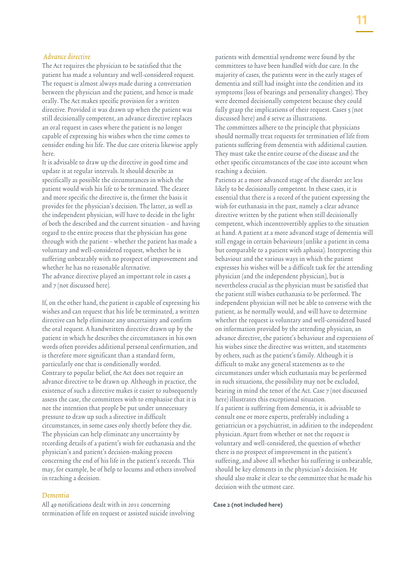#### Advance directive

The Act requires the physician to be satisfied that the patient has made a voluntary and well-considered request. The request is almost always made during a conversation between the physician and the patient, and hence is made orally. The Act makes specific provision for a written directive. Provided it was drawn up when the patient was still decisionally competent, an advance directive replaces an oral request in cases where the patient is no longer capable of expressing his wishes when the time comes to consider ending his life. The due care criteria likewise apply here.

It is advisable to draw up the directive in good time and update it at regular intervals. It should describe as specifically as possible the circumstances in which the patient would wish his life to be terminated. The clearer and more specific the directive is, the firmer the basis it provides for the physician's decision. The latter, as well as the independent physician, will have to decide in the light of both the described and the current situation – and having regard to the entire process that the physician has gone through with the patient – whether the patient has made a voluntary and well-considered request, whether he is suffering unbearably with no prospect of improvement and whether he has no reasonable alternative. The advance directive played an important role in cases 4 and 7 (not discussed here).

If, on the other hand, the patient is capable of expressing his wishes and can request that his life be terminated, a written directive can help eliminate any uncertainty and confirm the oral request. A handwritten directive drawn up by the patient in which he describes the circumstances in his own words often provides additional personal confirmation, and is therefore more significant than a standard form, particularly one that is conditionally worded. Contrary to popular belief, the Act does not require an advance directive to be drawn up. Although in practice, the existence of such a directive makes it easier to subsequently assess the case, the committees wish to emphasise that it is not the intention that people be put under unnecessary pressure to draw up such a directive in difficult circumstances, in some cases only shortly before they die. The physician can help eliminate any uncertainty by recording details of a patient's wish for euthanasia and the physician's and patient's decision-making process concerning the end of his life in the patient's records. This may, for example, be of help to locums and others involved in reaching a decision.

#### Dementia

All 49 notifications dealt with in 2011 concerning termination of life on request or assisted suicide involving patients with demential syndrome were found by the committees to have been handled with due care. In the majority of cases, the patients were in the early stages of dementia and still had insight into the condition and its symptoms (loss of bearings and personality changes). They were deemed decisionally competent because they could fully grasp the implications of their request. Cases 5 (not discussed here) and 6 serve as illustrations. The committees adhere to the principle that physicians should normally treat requests for termination of life from patients suffering from dementia with additional caution. They must take the entire course of the disease and the other specific circumstances of the case into account when reaching a decision.

Patients at a more advanced stage of the disorder are less likely to be decisionally competent. In these cases, it is essential that there is a record of the patient expressing the wish for euthanasia in the past, namely a clear advance directive written by the patient when still decisionally competent, which incontrovertibly applies to the situation at hand. A patient at a more advanced stage of dementia will still engage in certain behaviours (unlike a patient in coma but comparable to a patient with aphasia). Interpreting this behaviour and the various ways in which the patient expresses his wishes will be a difficult task for the attending physician (and the independent physician), but is nevertheless crucial as the physician must be satisfied that the patient still wishes euthanasia to be performed. The independent physician will not be able to converse with the patient, as he normally would, and will have to determine whether the request is voluntary and well-considered based on information provided by the attending physician, an advance directive, the patient's behaviour and expressions of his wishes since the directive was written, and statements by others, such as the patient's family. Although it is difficult to make any general statements as to the circumstances under which euthanasia may be performed in such situations, the possibility may not be excluded, bearing in mind the tenor of the Act. Case 7 (not discussed here) illustrates this exceptional situation. If a patient is suffering from dementia, it is advisable to consult one or more experts, preferably including a geriatrician or a psychiatrist, in addition to the independent physician. Apart from whether or not the request is voluntary and well-considered, the question of whether there is no prospect of improvement in the patient's suffering, and above all whether his suffering is unbearable, should be key elements in the physician's decision. He should also make it clear to the committee that he made his decision with the utmost care.

#### **Case 2 (not included here)**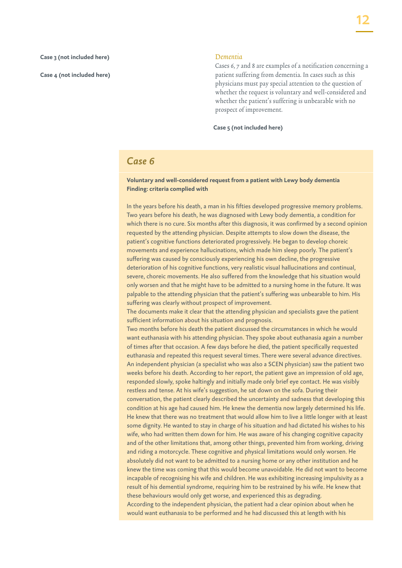#### **Case 3 (not included here)**

**Case 4 (not included here)**

#### Dementia

Cases 6, 7 and 8 are examples of a notification concerning a patient suffering from dementia. In cases such as this physicians must pay special attention to the question of whether the request is voluntary and well-considered and whether the patient's suffering is unbearable with no prospect of improvement.

**Case 5 (not included here)**

#### *Case 6*

#### **Voluntary and well-considered request from a patient with Lewy body dementia Finding: criteria complied with**

In the years before his death, a man in his fifties developed progressive memory problems. Two years before his death, he was diagnosed with Lewy body dementia, a condition for which there is no cure. Six months after this diagnosis, it was confirmed by a second opinion requested by the attending physician. Despite attempts to slow down the disease, the patient's cognitive functions deteriorated progressively. He began to develop choreic movements and experience hallucinations, which made him sleep poorly. The patient's suffering was caused by consciously experiencing his own decline, the progressive deterioration of his cognitive functions, very realistic visual hallucinations and continual, severe, choreic movements. He also suffered from the knowledge that his situation would only worsen and that he might have to be admitted to a nursing home in the future. It was palpable to the attending physician that the patient's suffering was unbearable to him. His suffering was clearly without prospect of improvement.

The documents make it clear that the attending physician and specialists gave the patient sufficient information about his situation and prognosis.

Two months before his death the patient discussed the circumstances in which he would want euthanasia with his attending physician. They spoke about euthanasia again a number of times after that occasion. A few days before he died, the patient specifically requested euthanasia and repeated this request several times. There were several advance directives. An independent physician (a specialist who was also a SCEN physician) saw the patient two weeks before his death. According to her report, the patient gave an impression of old age, responded slowly, spoke haltingly and initially made only brief eye contact. He was visibly restless and tense. At his wife's suggestion, he sat down on the sofa. During their conversation, the patient clearly described the uncertainty and sadness that developing this condition at his age had caused him. He knew the dementia now largely determined his life. He knew that there was no treatment that would allow him to live a little longer with at least some dignity. He wanted to stay in charge of his situation and had dictated his wishes to his wife, who had written them down for him. He was aware of his changing cognitive capacity and of the other limitations that, among other things, prevented him from working, driving and riding a motorcycle. These cognitive and physical limitations would only worsen. He absolutely did not want to be admitted to a nursing home or any other institution and he knew the time was coming that this would become unavoidable. He did not want to become incapable of recognising his wife and children. He was exhibiting increasing impulsivity as a result of his demential syndrome, requiring him to be restrained by his wife. He knew that these behaviours would only get worse, and experienced this as degrading. According to the independent physician, the patient had a clear opinion about when he would want euthanasia to be performed and he had discussed this at length with his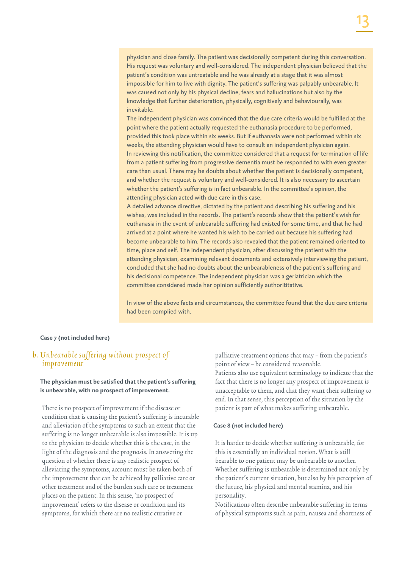patient's condition was untreatable and he was already at a stage that it was almost impossible for him to live with dignity. The patient's suffering was palpably unbearable. It was caused not only by his physical decline, fears and hallucinations but also by the knowledge that further deterioration, physically, cognitively and behaviourally, was inevitable.

The independent physician was convinced that the due care criteria would be fulfilled at the point where the patient actually requested the euthanasia procedure to be performed, provided this took place within six weeks. But if euthanasia were not performed within six weeks, the attending physician would have to consult an independent physician again. In reviewing this notification, the committee considered that a request for termination of life from a patient suffering from progressive dementia must be responded to with even greater care than usual. There may be doubts about whether the patient is decisionally competent, and whether the request is voluntary and well-considered. It is also necessary to ascertain whether the patient's suffering is in fact unbearable. In the committee's opinion, the attending physician acted with due care in this case.

A detailed advance directive, dictated by the patient and describing his suffering and his wishes, was included in the records. The patient's records show that the patient's wish for euthanasia in the event of unbearable suffering had existed for some time, and that he had arrived at a point where he wanted his wish to be carried out because his suffering had become unbearable to him. The records also revealed that the patient remained oriented to time, place and self. The independent physician, after discussing the patient with the attending physician, examining relevant documents and extensively interviewing the patient, concluded that she had no doubts about the unbearableness of the patient's suffering and his decisional competence. The independent physician was a geriatrician which the committee considered made her opinion sufficiently authorititative.

In view of the above facts and circumstances, the committee found that the due care criteria had been complied with.

#### **Case 7 (not included here)**

#### b. Unbearable suffering without prospect of improvement

#### **The physician must be satisfied that the patient's suffering is unbearable, with no prospect of improvement.**

There is no prospect of improvement if the disease or condition that is causing the patient's suffering is incurable and alleviation of the symptoms to such an extent that the suffering is no longer unbearable is also impossible. It is up to the physician to decide whether this is the case, in the light of the diagnosis and the prognosis. In answering the question of whether there is any realistic prospect of alleviating the symptoms, account must be taken both of the improvement that can be achieved by palliative care or other treatment and of the burden such care or treatment places on the patient. In this sense, 'no prospect of improvement' refers to the disease or condition and its symptoms, for which there are no realistic curative or

palliative treatment options that may – from the patient's point of view – be considered reasonable. Patients also use equivalent terminology to indicate that the fact that there is no longer any prospect of improvement is unacceptable to them, and that they want their suffering to end. In that sense, this perception of the situation by the patient is part of what makes suffering unbearable.

#### **Case 8 (not included here)**

It is harder to decide whether suffering is unbearable, for this is essentially an individual notion. What is still bearable to one patient may be unbearable to another. Whether suffering is unbearable is determined not only by the patient's current situation, but also by his perception of the future, his physical and mental stamina, and his personality.

Notifications often describe unbearable suffering in terms of physical symptoms such as pain, nausea and shortness of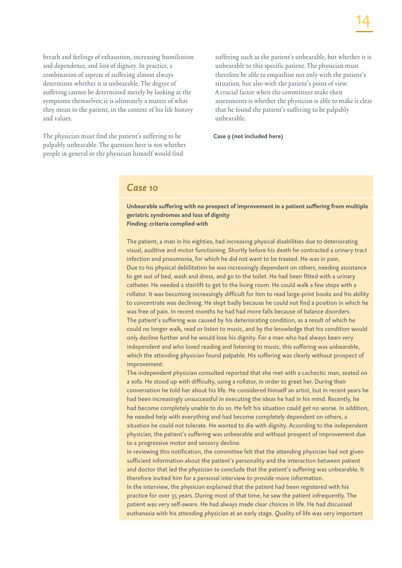breath and feelings of exhaustion, increasing humiliation and dependence, and loss of dignity. In practice, a combination of aspects of suffering almost always determines whether it is unbearable. The degree of suffering cannot be determined merely by looking at the symptoms themselves; it is ultimately a matter of what they mean to the patient, in the context of his life history and values.

The physician must find the patient's suffering to be palpably unbearable. The question here is not whether people in general or the physician himself would find

suffering such as the patient's unbearable, but whether it is unbearable to this specific patient. The physician must therefore be able to empathise not only with the patient's situation, but also with the patient's point of view. A crucial factor when the committees make their assessments is whether the physician is able to make it clear that he found the patient's suffering to be palpably unbearable.

**Case 9 (not included here)**

#### *Case 10*

**Unbearable suffering with no prospect of improvement in a patient suffering from multiple geriatric syndromes and loss of dignity Finding: criteria complied with**

The patient, a man in his eighties, had increasing physical disabilities due to deteriorating visual, auditive and motor functioning. Shortly before his death he contracted a urinary tract infection and pneumonia, for which he did not want to be treated. He was in pain. Due to his physical debilitation he was increasingly dependent on others, needing assistance to get out of bed, wash and dress, and go to the toilet. He had been fitted with a urinary catheter. He needed a stairlift to get to the living room. He could walk a few steps with a rollator. It was becoming increasingly difficult for him to read large-print books and his ability to concentrate was declining. He slept badly because he could not find a position in which he was free of pain. In recent months he had had more falls because of balance disorders. The patient's suffering was caused by his deteriorating condition, as a result of which he could no longer walk, read or listen to music, and by the knowledge that his condition would only decline further and he would lose his dignity. For a man who had always been very independent and who loved reading and listening to music, this suffering was unbearable, which the attending physician found palpable. His suffering was clearly without prospect of improvement.

The independent physician consulted reported that she met with a cachectic man, seated on a sofa. He stood up with difficulty, using a rollator, in order to greet her. During their conversation he told her about his life. He considered himself an artist, but in recent years he had been increasingly unsuccessful in executing the ideas he had in his mind. Recently, he had become completely unable to do so. He felt his situation could get no worse. In addition, he needed help with everything and had become completely dependent on others, a situation he could not tolerate. He wanted to die with dignity. According to the independent physician, the patient's suffering was unbearable and without prospect of improvement due to a progressive motor and sensory decline.

In reviewing this notification, the committee felt that the attending physician had not given sufficient information about the patient's personality and the interaction between patient and doctor that led the physician to conclude that the patient's suffering was unbearable. It therefore invited him for a personal interview to provide more information. In the interview, the physician explained that the patient had been registered with his practice for over 35 years. During most of that time, he saw the patient infrequently. The patient was very self-aware. He had always made clear choices in life. He had discussed euthanasia with his attending physician at an early stage. Quality of life was very important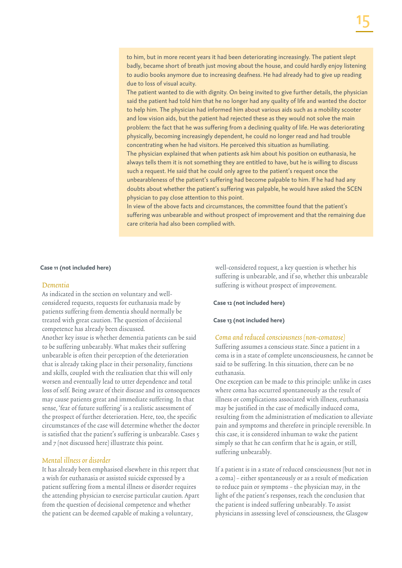to him, but in more recent years it had been deteriorating increasingly. The patient slept badly, became short of breath just moving about the house, and could hardly enjoy listening to audio books anymore due to increasing deafness. He had already had to give up reading due to loss of visual acuity.

The patient wanted to die with dignity. On being invited to give further details, the physician said the patient had told him that he no longer had any quality of life and wanted the doctor to help him. The physician had informed him about various aids such as a mobility scooter and low vision aids, but the patient had rejected these as they would not solve the main problem: the fact that he was suffering from a declining quality of life. He was deteriorating physically, becoming increasingly dependent, he could no longer read and had trouble concentrating when he had visitors. He perceived this situation as humiliating. The physician explained that when patients ask him about his position on euthanasia, he always tells them it is not something they are entitled to have, but he is willing to discuss such a request. He said that he could only agree to the patient's request once the unbearableness of the patient's suffering had become palpable to him. If he had had any doubts about whether the patient's suffering was palpable, he would have asked the SCEN physician to pay close attention to this point.

In view of the above facts and circumstances, the committee found that the patient's suffering was unbearable and without prospect of improvement and that the remaining due care criteria had also been complied with.

#### **Case 11 (not included here)**

#### Dementia

As indicated in the section on voluntary and wellconsidered requests, requests for euthanasia made by patients suffering from dementia should normally be treated with great caution. The question of decisional competence has already been discussed. Another key issue is whether dementia patients can be said to be suffering unbearably. What makes their suffering unbearable is often their perception of the deterioration that is already taking place in their personality, functions and skills, coupled with the realisation that this will only worsen and eventually lead to utter dependence and total loss of self. Being aware of their disease and its consequences may cause patients great and immediate suffering. In that sense, 'fear of future suffering' is a realistic assessment of the prospect of further deterioration. Here, too, the specific circumstances of the case will determine whether the doctor is satisfied that the patient's suffering is unbearable. Cases 5 and 7 (not discussed here) illustrate this point.

#### Mental illness or disorder

It has already been emphasised elsewhere in this report that a wish for euthanasia or assisted suicide expressed by a patient suffering from a mental illness or disorder requires the attending physician to exercise particular caution. Apart from the question of decisional competence and whether the patient can be deemed capable of making a voluntary,

well-considered request, a key question is whether his suffering is unbearable, and if so, whether this unbearable suffering is without prospect of improvement.

#### **Case 12 (not included here)**

#### **Case 13 (not included here)**

#### Coma and reduced consciousness (non-comatose)

Suffering assumes a conscious state. Since a patient in a coma is in a state of complete unconsciousness, he cannot be said to be suffering. In this situation, there can be no euthanasia.

One exception can be made to this principle: unlike in cases where coma has occurred spontaneously as the result of illness or complications associated with illness, euthanasia may be justified in the case of medically induced coma, resulting from the administration of medication to alleviate pain and symptoms and therefore in principle reversible. In this case, it is considered inhuman to wake the patient simply so that he can confirm that he is again, or still, suffering unbearably.

If a patient is in a state of reduced consciousness (but not in a coma) – either spontaneously or as a result of medication to reduce pain or symptoms – the physician may, in the light of the patient's responses, reach the conclusion that the patient is indeed suffering unbearably. To assist physicians in assessing level of consciousness, the Glasgow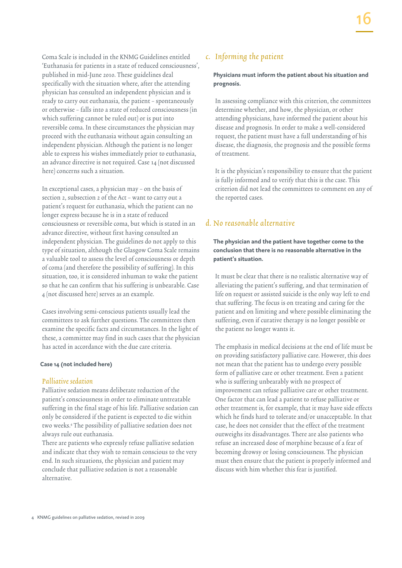Coma Scale is included in the KNMG Guidelines entitled 'Euthanasia for patients in a state of reduced consciousness', published in mid-June 2010. These guidelines deal specifically with the situation where, after the attending physician has consulted an independent physician and is ready to carry out euthanasia, the patient – spontaneously or otherwise – falls into a state of reduced consciousness (in which suffering cannot be ruled out) or is put into reversible coma. In these circumstances the physician may proceed with the euthanasia without again consulting an independent physician. Although the patient is no longer able to express his wishes immediately prior to euthanasia, an advance directive is not required. Case 14 (not discussed here) concerns such a situation.

In exceptional cases, a physician may – on the basis of section 2, subsection 2 of the Act – want to carry out a patient's request for euthanasia, which the patient can no longer express because he is in a state of reduced consciousness or reversible coma, but which is stated in an advance directive, without first having consulted an independent physician. The guidelines do not apply to this type of situation, although the Glasgow Coma Scale remains a valuable tool to assess the level of consciousness or depth of coma (and therefore the possibility of suffering). In this situation, too, it is considered inhuman to wake the patient so that he can confirm that his suffering is unbearable. Case 4 (not discussed here) serves as an example.

Cases involving semi-conscious patients usually lead the committees to ask further questions. The committees then examine the specific facts and circumstances. In the light of these, a committee may find in such cases that the physician has acted in accordance with the due care criteria.

#### **Case 14 (not included here)**

#### Palliative sedation

Palliative sedation means deliberate reduction of the patient's consciousness in order to eliminate untreatable suffering in the final stage of his life. Palliative sedation can only be considered if the patient is expected to die within two weeks.4 The possibility of palliative sedation does not always rule out euthanasia.

There are patients who expressly refuse palliative sedation and indicate that they wish to remain conscious to the very end. In such situations, the physician and patient may conclude that palliative sedation is not a reasonable alternative.

#### c. Informing the patient

#### **Physicians must inform the patient about his situation and prognosis.**

In assessing compliance with this criterion, the committees determine whether, and how, the physician, or other attending physicians, have informed the patient about his disease and prognosis. In order to make a well-considered request, the patient must have a full understanding of his disease, the diagnosis, the prognosis and the possible forms of treatment.

It is the physician's responsibility to ensure that the patient is fully informed and to verify that this is the case. This criterion did not lead the committees to comment on any of the reported cases.

#### d. No reasonable alternative

**The physician and the patient have together come to the conclusion that there is no reasonable alternative in the patient's situation.**

It must be clear that there is no realistic alternative way of alleviating the patient's suffering, and that termination of life on request or assisted suicide is the only way left to end that suffering. The focus is on treating and caring for the patient and on limiting and where possible eliminating the suffering, even if curative therapy is no longer possible or the patient no longer wants it.

The emphasis in medical decisions at the end of life must be on providing satisfactory palliative care. However, this does not mean that the patient has to undergo every possible form of palliative care or other treatment. Even a patient who is suffering unbearably with no prospect of improvement can refuse palliative care or other treatment. One factor that can lead a patient to refuse palliative or other treatment is, for example, that it may have side effects which he finds hard to tolerate and/or unacceptable. In that case, he does not consider that the effect of the treatment outweighs its disadvantages. There are also patients who refuse an increased dose of morphine because of a fear of becoming drowsy or losing consciousness. The physician must then ensure that the patient is properly informed and discuss with him whether this fear is justified.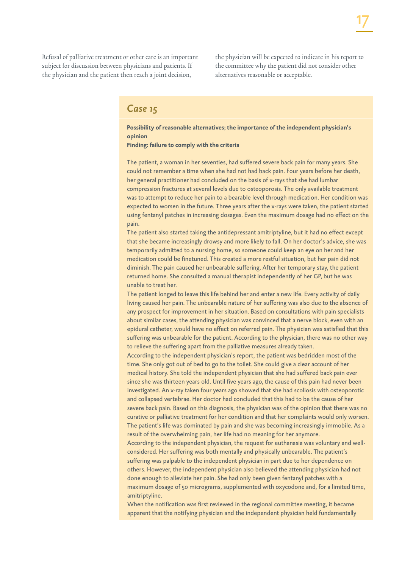Refusal of palliative treatment or other care is an important subject for discussion between physicians and patients. If the physician and the patient then reach a joint decision,

the physician will be expected to indicate in his report to the committee why the patient did not consider other alternatives reasonable or acceptable.

#### *Case 15*

**Possibility of reasonable alternatives; the importance of the independent physician's opinion**

**Finding: failure to comply with the criteria**

The patient, a woman in her seventies, had suffered severe back pain for many years. She could not remember a time when she had not had back pain. Four years before her death, her general practitioner had concluded on the basis of x-rays that she had lumbar compression fractures at several levels due to osteoporosis. The only available treatment was to attempt to reduce her pain to a bearable level through medication. Her condition was expected to worsen in the future. Three years after the x-rays were taken, the patient started using fentanyl patches in increasing dosages. Even the maximum dosage had no effect on the pain.

The patient also started taking the antidepressant amitriptyline, but it had no effect except that she became increasingly drowsy and more likely to fall. On her doctor's advice, she was temporarily admitted to a nursing home, so someone could keep an eye on her and her medication could be finetuned. This created a more restful situation, but her pain did not diminish. The pain caused her unbearable suffering. After her temporary stay, the patient returned home. She consulted a manual therapist independently of her GP, but he was unable to treat her.

The patient longed to leave this life behind her and enter a new life. Every activity of daily living caused her pain. The unbearable nature of her suffering was also due to the absence of any prospect for improvement in her situation. Based on consultations with pain specialists about similar cases, the attending physician was convinced that a nerve block, even with an epidural catheter, would have no effect on referred pain. The physician was satisfied that this suffering was unbearable for the patient. According to the physician, there was no other way to relieve the suffering apart from the palliative measures already taken.

According to the independent physician's report, the patient was bedridden most of the time. She only got out of bed to go to the toilet. She could give a clear account of her medical history. She told the independent physician that she had suffered back pain ever since she was thirteen years old. Until five years ago, the cause of this pain had never been investigated. An x-ray taken four years ago showed that she had scoliosis with osteoporotic and collapsed vertebrae. Her doctor had concluded that this had to be the cause of her severe back pain. Based on this diagnosis, the physician was of the opinion that there was no curative or palliative treatment for her condition and that her complaints would only worsen. The patient's life was dominated by pain and she was becoming increasingly immobile. As a result of the overwhelming pain, her life had no meaning for her anymore.

According to the independent physician, the request for euthanasia was voluntary and wellconsidered. Her suffering was both mentally and physically unbearable. The patient's suffering was palpable to the independent physician in part due to her dependence on others. However, the independent physician also believed the attending physician had not done enough to alleviate her pain. She had only been given fentanyl patches with a maximum dosage of 50 micrograms, supplemented with oxycodone and, for a limited time, amitriptyline.

When the notification was first reviewed in the regional committee meeting, it became apparent that the notifying physician and the independent physician held fundamentally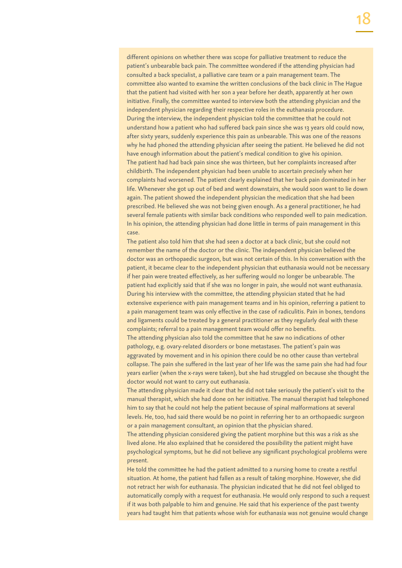different opinions on whether there was scope for palliative treatment to reduce the patient's unbearable back pain. The committee wondered if the attending physician had consulted a back specialist, a palliative care team or a pain management team. The committee also wanted to examine the written conclusions of the back clinic in The Hague that the patient had visited with her son a year before her death, apparently at her own initiative. Finally, the committee wanted to interview both the attending physician and the independent physician regarding their respective roles in the euthanasia procedure. During the interview, the independent physician told the committee that he could not understand how a patient who had suffered back pain since she was 13 years old could now, after sixty years, suddenly experience this pain as unbearable. This was one of the reasons why he had phoned the attending physician after seeing the patient. He believed he did not have enough information about the patient's medical condition to give his opinion. The patient had had back pain since she was thirteen, but her complaints increased after childbirth. The independent physician had been unable to ascertain precisely when her complaints had worsened. The patient clearly explained that her back pain dominated in her life. Whenever she got up out of bed and went downstairs, she would soon want to lie down again. The patient showed the independent physician the medication that she had been prescribed. He believed she was not being given enough. As a general practitioner, he had several female patients with similar back conditions who responded well to pain medication. In his opinion, the attending physician had done little in terms of pain management in this case.

The patient also told him that she had seen a doctor at a back clinic, but she could not remember the name of the doctor or the clinic. The independent physician believed the doctor was an orthopaedic surgeon, but was not certain of this. In his conversation with the patient, it became clear to the independent physician that euthanasia would not be necessary if her pain were treated effectively, as her suffering would no longer be unbearable. The patient had explicitly said that if she was no longer in pain, she would not want euthanasia. During his interview with the committee, the attending physician stated that he had extensive experience with pain management teams and in his opinion, referring a patient to a pain management team was only effective in the case of radiculitis. Pain in bones, tendons and ligaments could be treated by a general practitioner as they regularly deal with these complaints; referral to a pain management team would offer no benefits.

The attending physician also told the committee that he saw no indications of other pathology, e.g. ovary-related disorders or bone metastases. The patient's pain was aggravated by movement and in his opinion there could be no other cause than vertebral collapse. The pain she suffered in the last year of her life was the same pain she had had four years earlier (when the x-rays were taken), but she had struggled on because she thought the doctor would not want to carry out euthanasia.

The attending physician made it clear that he did not take seriously the patient's visit to the manual therapist, which she had done on her initiative. The manual therapist had telephoned him to say that he could not help the patient because of spinal malformations at several levels. He, too, had said there would be no point in referring her to an orthopaedic surgeon or a pain management consultant, an opinion that the physician shared.

The attending physician considered giving the patient morphine but this was a risk as she lived alone. He also explained that he considered the possibility the patient might have psychological symptoms, but he did not believe any significant psychological problems were present.

He told the committee he had the patient admitted to a nursing home to create a restful situation. At home, the patient had fallen as a result of taking morphine. However, she did not retract her wish for euthanasia. The physician indicated that he did not feel obliged to automatically comply with a request for euthanasia. He would only respond to such a request if it was both palpable to him and genuine. He said that his experience of the past twenty years had taught him that patients whose wish for euthanasia was not genuine would change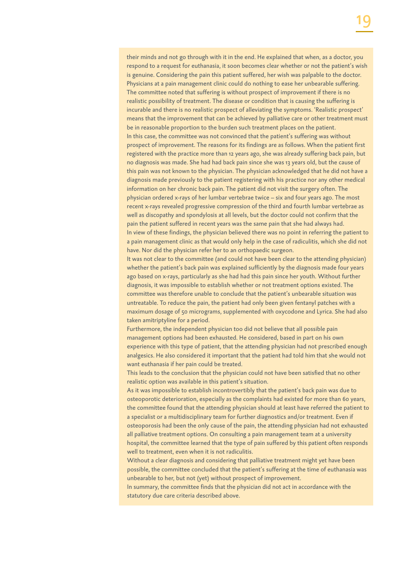their minds and not go through with it in the end. He explained that when, as a doctor, you respond to a request for euthanasia, it soon becomes clear whether or not the patient's wish is genuine. Considering the pain this patient suffered, her wish was palpable to the doctor. Physicians at a pain management clinic could do nothing to ease her unbearable suffering. The committee noted that suffering is without prospect of improvement if there is no realistic possibility of treatment. The disease or condition that is causing the suffering is incurable and there is no realistic prospect of alleviating the symptoms. 'Realistic prospect' means that the improvement that can be achieved by palliative care or other treatment must be in reasonable proportion to the burden such treatment places on the patient. In this case, the committee was not convinced that the patient's suffering was without prospect of improvement. The reasons for its findings are as follows. When the patient first registered with the practice more than 12 years ago, she was already suffering back pain, but no diagnosis was made. She had had back pain since she was 13 years old, but the cause of this pain was not known to the physician. The physician acknowledged that he did not have a diagnosis made previously to the patient registering with his practice nor any other medical information on her chronic back pain. The patient did not visit the surgery often. The physician ordered x-rays of her lumbar vertebrae twice – six and four years ago. The most recent x-rays revealed progressive compression of the third and fourth lumbar vertebrae as well as discopathy and spondylosis at all levels, but the doctor could not confirm that the pain the patient suffered in recent years was the same pain that she had always had. In view of these findings, the physician believed there was no point in referring the patient to a pain management clinic as that would only help in the case of radiculitis, which she did not have. Nor did the physician refer her to an orthopaedic surgeon.

It was not clear to the committee (and could not have been clear to the attending physician) whether the patient's back pain was explained sufficiently by the diagnosis made four years ago based on x-rays, particularly as she had had this pain since her youth. Without further diagnosis, it was impossible to establish whether or not treatment options existed. The committee was therefore unable to conclude that the patient's unbearable situation was untreatable. To reduce the pain, the patient had only been given fentanyl patches with a maximum dosage of 50 micrograms, supplemented with oxycodone and Lyrica. She had also taken amitriptyline for a period.

Furthermore, the independent physician too did not believe that all possible pain management options had been exhausted. He considered, based in part on his own experience with this type of patient, that the attending physician had not prescribed enough analgesics. He also considered it important that the patient had told him that she would not want euthanasia if her pain could be treated.

This leads to the conclusion that the physician could not have been satisfied that no other realistic option was available in this patient's situation.

As it was impossible to establish incontrovertibly that the patient's back pain was due to osteoporotic deterioration, especially as the complaints had existed for more than 60 years, the committee found that the attending physician should at least have referred the patient to a specialist or a multidisciplinary team for further diagnostics and/or treatment. Even if osteoporosis had been the only cause of the pain, the attending physician had not exhausted all palliative treatment options. On consulting a pain management team at a university hospital, the committee learned that the type of pain suffered by this patient often responds well to treatment, even when it is not radiculitis.

Without a clear diagnosis and considering that palliative treatment might yet have been possible, the committee concluded that the patient's suffering at the time of euthanasia was unbearable to her, but not (yet) without prospect of improvement.

In summary, the committee finds that the physician did not act in accordance with the statutory due care criteria described above.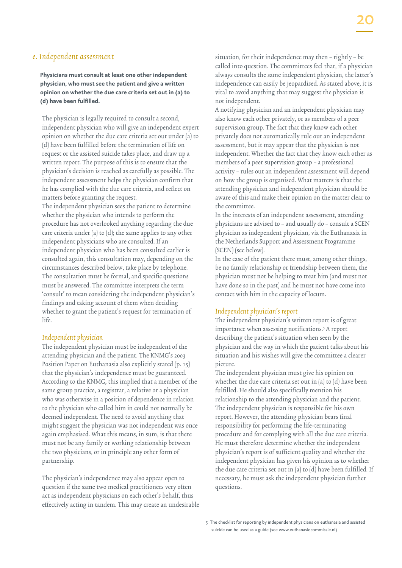#### e. Independent assessment

**Physicians must consult at least one other independent physician, who must see the patient and give a written opinion on whether the due care criteria set out in (a) to (d) have been fulfilled.**

The physician is legally required to consult a second, independent physician who will give an independent expert opinion on whether the due care criteria set out under (a) to (d) have been fulfilled before the termination of life on request or the assisted suicide takes place, and draw up a written report. The purpose of this is to ensure that the physician's decision is reached as carefully as possible. The independent assessment helps the physician confirm that he has complied with the due care criteria, and reflect on matters before granting the request.

The independent physician sees the patient to determine whether the physician who intends to perform the procedure has not overlooked anything regarding the due care criteria under (a) to (d); the same applies to any other independent physicians who are consulted. If an independent physician who has been consulted earlier is consulted again, this consultation may, depending on the circumstances described below, take place by telephone. The consultation must be formal, and specific questions must be answered. The committee interprets the term 'consult' to mean considering the independent physician's findings and taking account of them when deciding whether to grant the patient's request for termination of life.

#### Independent physician

The independent physician must be independent of the attending physician and the patient. The KNMG's 2003 Position Paper on Euthanasia also explicitly stated (p. 15) that the physician's independence must be guaranteed. According to the KNMG, this implied that a member of the same group practice, a registrar, a relative or a physician who was otherwise in a position of dependence in relation to the physician who called him in could not normally be deemed independent. The need to avoid anything that might suggest the physician was not independent was once again emphasised. What this means, in sum, is that there must not be any family or working relationship between the two physicians, or in principle any other form of partnership.

The physician's independence may also appear open to question if the same two medical practitioners very often act as independent physicians on each other's behalf, thus effectively acting in tandem. This may create an undesirable situation, for their independence may then – rightly – be called into question. The committees feel that, if a physician always consults the same independent physician, the latter's independence can easily be jeopardised. As stated above, it is vital to avoid anything that may suggest the physician is not independent.

A notifying physician and an independent physician may also know each other privately, or as members of a peer supervision group. The fact that they know each other privately does not automatically rule out an independent assessment, but it may appear that the physician is not independent. Whether the fact that they know each other as members of a peer supervision group – a professional activity – rules out an independent assessment will depend on how the group is organised. What matters is that the attending physician and independent physician should be aware of this and make their opinion on the matter clear to the committee.

In the interests of an independent assessment, attending physicians are advised to – and usually do – consult a SCEN physician as independent physician, via the Euthanasia in the Netherlands Support and Assessment Programme (SCEN) (see below).

In the case of the patient there must, among other things, be no family relationship or friendship between them, the physician must not be helping to treat him (and must not have done so in the past) and he must not have come into contact with him in the capacity of locum.

#### Independent physician's report

The independent physician's written report is of great importance when assessing notifications.<sup>5</sup> A report describing the patient's situation when seen by the physician and the way in which the patient talks about his situation and his wishes will give the committee a clearer picture.

The independent physician must give his opinion on whether the due care criteria set out in (a) to (d) have been fulfilled. He should also specifically mention his relationship to the attending physician and the patient. The independent physician is responsible for his own report. However, the attending physician bears final responsibility for performing the life-terminating procedure and for complying with all the due care criteria. He must therefore determine whether the independent physician's report is of sufficient quality and whether the independent physician has given his opinion as to whether the due care criteria set out in (a) to (d) have been fulfilled. If necessary, he must ask the independent physician further questions.

<sup>5</sup> The checklist for reporting by independent physicians on euthanasia and assisted suicide can be used as a guide (see www.euthanasiecommissie.nl)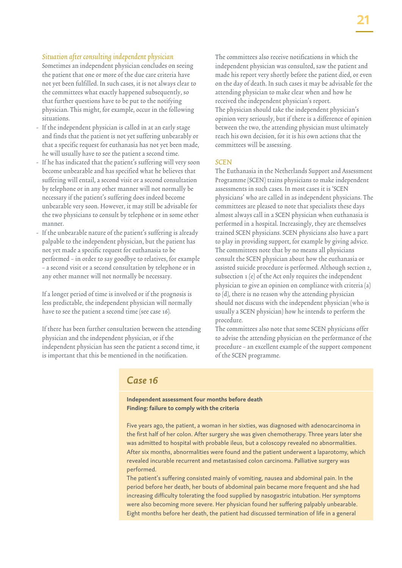#### Situation after consulting independent physician

Sometimes an independent physician concludes on seeing the patient that one or more of the due care criteria have not yet been fulfilled. In such cases, it is not always clear to the committees what exactly happened subsequently, so that further questions have to be put to the notifying physician. This might, for example, occur in the following situations.

- If the independent physician is called in at an early stage and finds that the patient is not yet suffering unbearably or that a specific request for euthanasia has not yet been made, he will usually have to see the patient a second time.
- If he has indicated that the patient's suffering will very soon become unbearable and has specified what he believes that suffering will entail, a second visit or a second consultation by telephone or in any other manner will not normally be necessary if the patient's suffering does indeed become unbearable very soon. However, it may still be advisable for the two physicians to consult by telephone or in some other manner.
- If the unbearable nature of the patient's suffering is already palpable to the independent physician, but the patient has not yet made a specific request for euthanasia to be performed – in order to say goodbye to relatives, for example – a second visit or a second consultation by telephone or in any other manner will not normally be necessary.

If a longer period of time is involved or if the prognosis is less predictable, the independent physician will normally have to see the patient a second time (see case 16).

If there has been further consultation between the attending physician and the independent physician, or if the independent physician has seen the patient a second time, it is important that this be mentioned in the notification.

The committees also receive notifications in which the independent physician was consulted, saw the patient and made his report very shortly before the patient died, or even on the day of death. In such cases it may be advisable for the attending physician to make clear when and how he received the independent physician's report. The physician should take the independent physician's opinion very seriously, but if there is a difference of opinion between the two, the attending physician must ultimately reach his own decision, for it is his own actions that the committees will be assessing.

#### **SCEN**

The Euthanasia in the Netherlands Support and Assessment Programme (SCEN) trains physicians to make independent assessments in such cases. In most cases it is 'SCEN physicians' who are called in as independent physicians. The committees are pleased to note that specialists these days almost always call in a SCEN physician when euthanasia is performed in a hospital. Increasingly, they are themselves trained SCEN physicians. SCEN physicians also have a part to play in providing support, for example by giving advice. The committees note that by no means all physicians consult the SCEN physician about how the euthanasia or assisted suicide procedure is performed. Although section 2, subsection 1 (e) of the Act only requires the independent physician to give an opinion on compliance with criteria (a) to (d), there is no reason why the attending physician should not discuss with the independent physician (who is usually a SCEN physician) how he intends to perform the procedure.

The committees also note that some SCEN physicians offer to advise the attending physician on the performance of the procedure – an excellent example of the support component of the SCEN programme.

#### *Case 16*

#### **Independent assessment four months before death Finding: failure to comply with the criteria**

Five years ago, the patient, a woman in her sixties, was diagnosed with adenocarcinoma in the first half of her colon. After surgery she was given chemotherapy. Three years later she was admitted to hospital with probable ileus, but a coloscopy revealed no abnormalities. After six months, abnormalities were found and the patient underwent a laparotomy, which revealed incurable recurrent and metastasised colon carcinoma. Palliative surgery was performed.

The patient's suffering consisted mainly of vomiting, nausea and abdominal pain. In the period before her death, her bouts of abdominal pain became more frequent and she had increasing difficulty tolerating the food supplied by nasogastric intubation. Her symptoms were also becoming more severe. Her physician found her suffering palpably unbearable. Eight months before her death, the patient had discussed termination of life in a general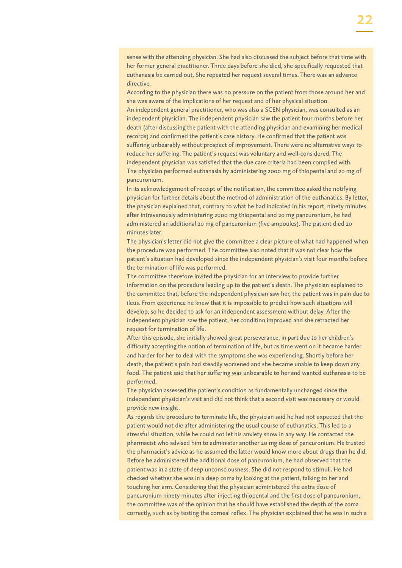sense with the attending physician. She had also discussed the subject before that time with her former general practitioner. Three days before she died, she specifically requested that euthanasia be carried out. She repeated her request several times. There was an advance directive.

According to the physician there was no pressure on the patient from those around her and she was aware of the implications of her request and of her physical situation.

An independent general practitioner, who was also a SCEN physician, was consulted as an independent physician. The independent physician saw the patient four months before her death (after discussing the patient with the attending physician and examining her medical records) and confirmed the patient's case history. He confirmed that the patient was suffering unbearably without prospect of improvement. There were no alternative ways to reduce her suffering. The patient's request was voluntary and well-considered. The independent physician was satisfied that the due care criteria had been complied with. The physician performed euthanasia by administering 2000 mg of thiopental and 20 mg of pancuronium.

In its acknowledgement of receipt of the notification, the committee asked the notifying physician for further details about the method of administration of the euthanatics. By letter, the physician explained that, contrary to what he had indicated in his report, ninety minutes after intravenously administering 2000 mg thiopental and 20 mg pancuronium, he had administered an additional 20 mg of pancuronium (five ampoules). The patient died 20 minutes later.

The physician's letter did not give the committee a clear picture of what had happened when the procedure was performed. The committee also noted that it was not clear how the patient's situation had developed since the independent physician's visit four months before the termination of life was performed.

The committee therefore invited the physician for an interview to provide further information on the procedure leading up to the patient's death. The physician explained to the committee that, before the independent physician saw her, the patient was in pain due to ileus. From experience he knew that it is impossible to predict how such situations will develop, so he decided to ask for an independent assessment without delay. After the independent physician saw the patient, her condition improved and she retracted her request for termination of life.

After this episode, she initially showed great perseverance, in part due to her children's difficulty accepting the notion of termination of life, but as time went on it became harder and harder for her to deal with the symptoms she was experiencing. Shortly before her death, the patient's pain had steadily worsened and she became unable to keep down any food. The patient said that her suffering was unbearable to her and wanted euthanasia to be performed.

The physician assessed the patient's condition as fundamentally unchanged since the independent physician's visit and did not think that a second visit was necessary or would provide new insight.

As regards the procedure to terminate life, the physician said he had not expected that the patient would not die after administering the usual course of euthanatics. This led to a stressful situation, while he could not let his anxiety show in any way. He contacted the pharmacist who advised him to administer another 20 mg dose of pancuronium. He trusted the pharmacist's advice as he assumed the latter would know more about drugs than he did. Before he administered the additional dose of pancuronium, he had observed that the patient was in a state of deep unconsciousness. She did not respond to stimuli. He had checked whether she was in a deep coma by looking at the patient, talking to her and touching her arm. Considering that the physician administered the extra dose of pancuronium ninety minutes after injecting thiopental and the first dose of pancuronium, the committee was of the opinion that he should have established the depth of the coma correctly, such as by testing the corneal reflex. The physician explained that he was in such a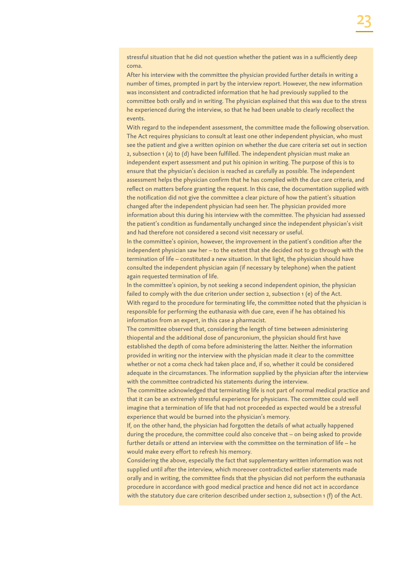stressful situation that he did not question whether the patient was in a sufficiently deep coma.

After his interview with the committee the physician provided further details in writing a number of times, prompted in part by the interview report. However, the new information was inconsistent and contradicted information that he had previously supplied to the committee both orally and in writing. The physician explained that this was due to the stress he experienced during the interview, so that he had been unable to clearly recollect the events.

With regard to the independent assessment, the committee made the following observation. The Act requires physicians to consult at least one other independent physician, who must see the patient and give a written opinion on whether the due care criteria set out in section 2, subsection 1 (a) to (d) have been fulfilled. The independent physician must make an independent expert assessment and put his opinion in writing. The purpose of this is to ensure that the physician's decision is reached as carefully as possible. The independent assessment helps the physician confirm that he has complied with the due care criteria, and reflect on matters before granting the request. In this case, the documentation supplied with the notification did not give the committee a clear picture of how the patient's situation changed after the independent physician had seen her. The physician provided more information about this during his interview with the committee. The physician had assessed the patient's condition as fundamentally unchanged since the independent physician's visit and had therefore not considered a second visit necessary or useful.

In the committee's opinion, however, the improvement in the patient's condition after the independent physician saw her – to the extent that she decided not to go through with the termination of life – constituted a new situation. In that light, the physician should have consulted the independent physician again (if necessary by telephone) when the patient again requested termination of life.

In the committee's opinion, by not seeking a second independent opinion, the physician failed to comply with the due criterion under section 2, subsection 1 (e) of the Act. With regard to the procedure for terminating life, the committee noted that the physician is responsible for performing the euthanasia with due care, even if he has obtained his information from an expert, in this case a pharmacist.

The committee observed that, considering the length of time between administering thiopental and the additional dose of pancuronium, the physician should first have established the depth of coma before administering the latter. Neither the information provided in writing nor the interview with the physician made it clear to the committee whether or not a coma check had taken place and, if so, whether it could be considered adequate in the circumstances. The information supplied by the physician after the interview with the committee contradicted his statements during the interview.

The committee acknowledged that terminating life is not part of normal medical practice and that it can be an extremely stressful experience for physicians. The committee could well imagine that a termination of life that had not proceeded as expected would be a stressful experience that would be burned into the physician's memory.

If, on the other hand, the physician had forgotten the details of what actually happened during the procedure, the committee could also conceive that – on being asked to provide further details or attend an interview with the committee on the termination of life – he would make every effort to refresh his memory.

Considering the above, especially the fact that supplementary written information was not supplied until after the interview, which moreover contradicted earlier statements made orally and in writing, the committee finds that the physician did not perform the euthanasia procedure in accordance with good medical practice and hence did not act in accordance with the statutory due care criterion described under section 2, subsection 1 (f) of the Act.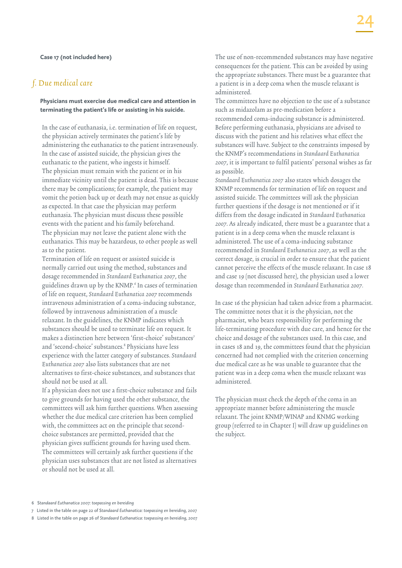#### f. Due medical care

#### **Physicians must exercise due medical care and attention in terminating the patient's life or assisting in his suicide.**

In the case of euthanasia, i.e. termination of life on request, the physician actively terminates the patient's life by administering the euthanatics to the patient intravenously. In the case of assisted suicide, the physician gives the euthanatic to the patient, who ingests it himself. The physician must remain with the patient or in his immediate vicinity until the patient is dead. This is because there may be complications; for example, the patient may vomit the potion back up or death may not ensue as quickly as expected. In that case the physician may perform euthanasia. The physician must discuss these possible events with the patient and his family beforehand. The physician may not leave the patient alone with the euthanatics. This may be hazardous, to other people as well as to the patient.

Termination of life on request or assisted suicide is normally carried out using the method, substances and dosage recommended in Standaard Euthanatica 2007, the guidelines drawn up by the KNMP.<sup>6</sup> In cases of termination of life on request, Standaard Euthanatica 2007 recommends intravenous administration of a coma-inducing substance, followed by intravenous administration of a muscle relaxant. In the guidelines, the KNMP indicates which substances should be used to terminate life on request. It makes a distinction here between 'first-choice' substances<sup>7</sup> and 'second-choice' substances.8 Physicians have less experience with the latter category of substances. Standaard Euthanatica 2007 also lists substances that are not alternatives to first-choice substances, and substances that should not be used at all.

If a physician does not use a first-choice substance and fails to give grounds for having used the other substance, the committees will ask him further questions. When assessing whether the due medical care criterion has been complied with, the committees act on the principle that secondchoice substances are permitted, provided that the physician gives sufficient grounds for having used them. The committees will certainly ask further questions if the physician uses substances that are not listed as alternatives or should not be used at all.

The use of non-recommended substances may have negative consequences for the patient. This can be avoided by using the appropriate substances. There must be a guarantee that a patient is in a deep coma when the muscle relaxant is administered.

The committees have no objection to the use of a substance such as midazolam as pre-medication before a recommended coma-inducing substance is administered. Before performing euthanasia, physicians are advised to discuss with the patient and his relatives what effect the substances will have. Subject to the constraints imposed by the KNMP's recommendations in Standaard Euthanatica 2007, it is important to fulfil patients' personal wishes as far as possible.

Standaard Euthanatica 2007 also states which dosages the KNMP recommends for termination of life on request and assisted suicide. The committees will ask the physician further questions if the dosage is not mentioned or if it differs from the dosage indicated in Standaard Euthanatica 2007. As already indicated, there must be a guarantee that a patient is in a deep coma when the muscle relaxant is administered. The use of a coma-inducing substance recommended in Standaard Euthanatica 2007, as well as the correct dosage, is crucial in order to ensure that the patient cannot perceive the effects of the muscle relaxant. In case 18 and case 19 (not discussed here), the physician used a lower dosage than recommended in Standaard Euthanatica 2007.

In case 16 the physician had taken advice from a pharmacist. The committee notes that it is the physician, not the pharmacist, who bears responsibility for performing the life-terminating procedure with due care, and hence for the choice and dosage of the substances used. In this case, and in cases 18 and 19, the committees found that the physician concerned had not complied with the criterion concerning due medical care as he was unable to guarantee that the patient was in a deep coma when the muscle relaxant was administered.

The physician must check the depth of the coma in an appropriate manner before administering the muscle relaxant. The joint KNMP/WINAP and KNMG working group (referred to in Chapter I) will draw up guidelines on the subject.

7 Listed in the table on page 22 of S*tandaard Euthanatica: toepassing en bereiding, 2007*

<sup>6</sup> S*tandaard Euthanatica 2007: toepassing en bereiding* 

<sup>8</sup> Listed in the table on page 26 of *Standaard Euthanatica: toepassing en bereiding, 2007*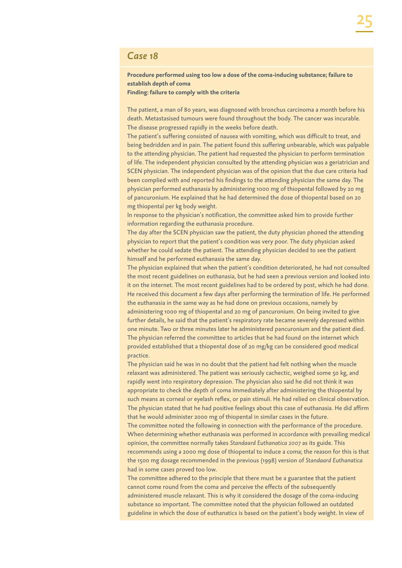#### *Case 18*

#### **Procedure performed using too low a dose of the coma-inducing substance; failure to establish depth of coma**

**Finding: failure to comply with the criteria**

The patient, a man of 80 years, was diagnosed with bronchus carcinoma a month before his death. Metastasised tumours were found throughout the body. The cancer was incurable. The disease progressed rapidly in the weeks before death.

The patient's suffering consisted of nausea with vomiting, which was difficult to treat, and being bedridden and in pain. The patient found this suffering unbearable, which was palpable to the attending physician. The patient had requested the physician to perform termination of life. The independent physician consulted by the attending physician was a geriatrician and SCEN physician. The independent physician was of the opinion that the due care criteria had been complied with and reported his findings to the attending physician the same day. The physician performed euthanasia by administering 1000 mg of thiopental followed by 20 mg of pancuronium. He explained that he had determined the dose of thiopental based on 20 mg thiopental per kg body weight.

In response to the physician's notification, the committee asked him to provide further information regarding the euthanasia procedure.

The day after the SCEN physician saw the patient, the duty physician phoned the attending physician to report that the patient's condition was very poor. The duty physician asked whether he could sedate the patient. The attending physician decided to see the patient himself and he performed euthanasia the same day.

The physician explained that when the patient's condition deteriorated, he had not consulted the most recent guidelines on euthanasia, but he had seen a previous version and looked into it on the internet. The most recent guidelines had to be ordered by post, which he had done. He received this document a few days after performing the termination of life. He performed the euthanasia in the same way as he had done on previous occasions, namely by administering 1000 mg of thiopental and 20 mg of pancuronium. On being invited to give further details, he said that the patient's respiratory rate became severely depressed within one minute. Two or three minutes later he administered pancuronium and the patient died. The physician referred the committee to articles that he had found on the internet which provided established that a thiopental dose of 20 mg/kg can be considered good medical practice.

The physician said he was in no doubt that the patient had felt nothing when the muscle relaxant was administered. The patient was seriously cachectic, weighed some 50 kg, and rapidly went into respiratory depression. The physician also said he did not think it was appropriate to check the depth of coma immediately after administering the thiopental by such means as corneal or eyelash reflex, or pain stimuli. He had relied on clinical observation. The physician stated that he had positive feelings about this case of euthanasia. He did affirm that he would administer 2000 mg of thiopental in similar cases in the future.

The committee noted the following in connection with the performance of the procedure. When determining whether euthanasia was performed in accordance with prevailing medical opinion, the committee normally takes *Standaard Euthanatica 2007* as its guide. This recommends using a 2000 mg dose of thiopental to induce a coma; the reason for this is that the 1500 mg dosage recommended in the previous (1998) version of *Standaard Euthanatica*  had in some cases proved too low.

The committee adhered to the principle that there must be a guarantee that the patient cannot come round from the coma and perceive the effects of the subsequently administered muscle relaxant. This is why it considered the dosage of the coma-inducing substance so important. The committee noted that the physician followed an outdated guideline in which the dose of euthanatics is based on the patient's body weight. In view of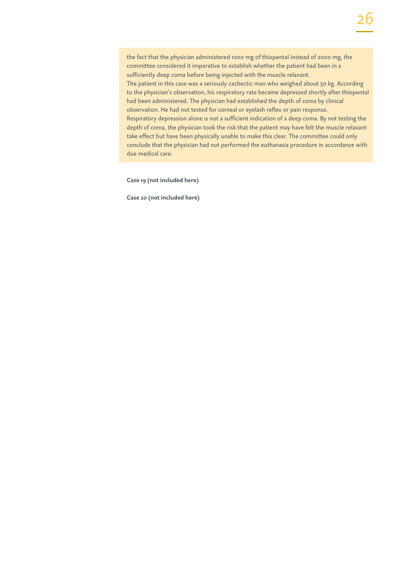the fact that the physician administered 1000 mg of thiopental instead of 2000 mg, the committee considered it imperative to establish whether the patient had been in a sufficiently deep coma before being injected with the muscle relaxant. The patient in this case was a seriously cachectic man who weighed about 50 kg. According to the physician's observation, his respiratory rate became depressed shortly after thiopental had been administered. The physician had established the depth of coma by clinical observation. He had not tested for corneal or eyelash reflex or pain response. Respiratory depression alone is not a sufficient indication of a deep coma. By not testing the depth of coma, the physician took the risk that the patient may have felt the muscle relaxant take effect but have been physically unable to make this clear. The committee could only conclude that the physician had not performed the euthanasia procedure in accordance with due medical care.

**Case 19 (not included here)**

**Case 20 (not included here)**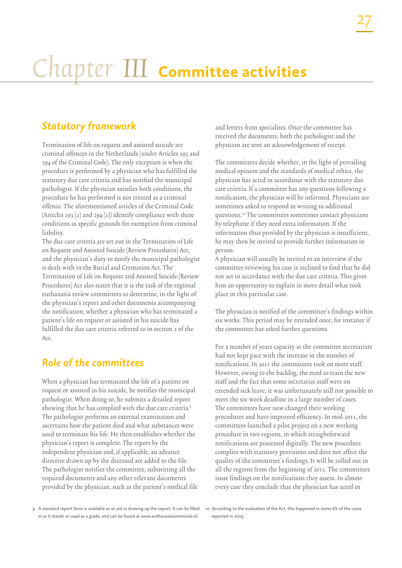# Chapter III **Committee activities**

# *Statutory framework*

Termination of life on request and assisted suicide are criminal offences in the Netherlands (under Articles 293 and 294 of the Criminal Code). The only exception is when the procedure is performed by a physician who has fulfilled the statutory due care criteria and has notified the municipal pathologist. If the physician satisfies both conditions, the procedure he has performed is not treated as a criminal offence. The aforementioned articles of the Criminal Code (Articles 293 (2) and 294 (2)) identify compliance with these conditions as specific grounds for exemption from criminal liability.

The due care criteria are set out in the Termination of Life on Request and Assisted Suicide (Review Procedures) Act, and the physician's duty to notify the municipal pathologist is dealt with in the Burial and Cremation Act. The Termination of Life on Request and Assisted Suicide (Review Procedures) Act also states that it is the task of the regional euthanasia review committees to determine, in the light of the physician's report and other documents accompanying the notification, whether a physician who has terminated a patient's life on request or assisted in his suicide has fulfilled the due care criteria referred to in section 2 of the  $Art$ 

# *Role of the committees*

When a physician has terminated the life of a patient on request or assisted in his suicide, he notifies the municipal pathologist. When doing so, he submits a detailed report showing that he has complied with the due care criteria.<sup>9</sup> The pathologist performs an external examination and ascertains how the patient died and what substances were used to terminate his life. He then establishes whether the physician's report is complete. The report by the independent physician and, if applicable, an advance directive drawn up by the deceased are added to the file. The pathologist notifies the committee, submitting all the required documents and any other relevant documents provided by the physician, such as the patient's medical file and letters from specialists. Once the committee has received the documents, both the pathologist and the physician are sent an acknowledgement of receipt.

The committees decide whether, in the light of prevailing medical opinion and the standards of medical ethics, the physician has acted in accordance with the statutory due care criteria. If a committee has any questions following a notification, the physician will be informed. Physicians are sometimes asked to respond in writing to additional questions.10 The committees sometimes contact physicians by telephone if they need extra information. If the information thus provided by the physician is insufficient, he may then be invited to provide further information in person.

A physician will usually be invited to an interview if the committee reviewing his case is inclined to find that he did not act in accordance with the due care criteria. This gives him an opportunity to explain in more detail what took place in this particular case.

The physician is notified of the committee's findings within six weeks. This period may be extended once, for instance if the committee has asked further questions.

For a number of years capacity at the committee secretariats had not kept pace with the increase in the number of notifications. In 2011 the committees took on more staff. However, owing to the backlog, the need to train the new staff and the fact that some secretariat staff were on extended sick leave, it was unfortunately still not possible to meet the six-week deadline in a large number of cases. The committees have now changed their working procedures and have improved efficiency. In mid-2011, the committees launched a pilot project on a new working procedure in two regions, in which straightforward notifications are processed digitally. The new procedure complies with statutory provisions and does not affect the quality of the committee's findings. It will be rolled out in all the regions from the beginning of 2012. The committees issue findings on the notifications they assess. In almost every case they conclude that the physician has acted in

<sup>9</sup> A standard report form is available as an aid in drawing up the report. It can be filled in as it stands or used as a guide, and can be found at www.euthanasiecommissie.nl.

<sup>10</sup> According to the evaluation of the Act, this happened in some 6% of the cases reported in 2005.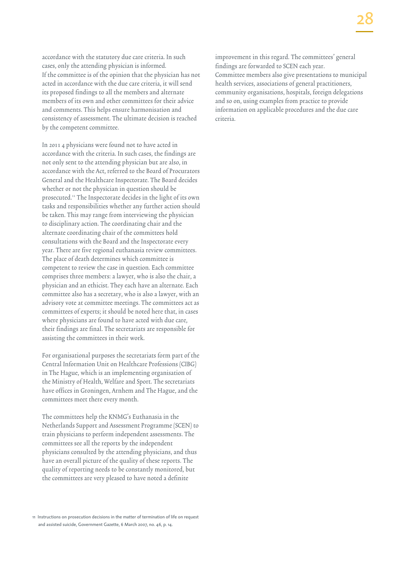accordance with the statutory due care criteria. In such cases, only the attending physician is informed. If the committee is of the opinion that the physician has not acted in accordance with the due care criteria, it will send its proposed findings to all the members and alternate members of its own and other committees for their advice and comments. This helps ensure harmonisation and consistency of assessment. The ultimate decision is reached by the competent committee.

In 2011 4 physicians were found not to have acted in accordance with the criteria. In such cases, the findings are not only sent to the attending physician but are also, in accordance with the Act, referred to the Board of Procurators General and the Healthcare Inspectorate. The Board decides whether or not the physician in question should be prosecuted.11 The Inspectorate decides in the light of its own tasks and responsibilities whether any further action should be taken. This may range from interviewing the physician to disciplinary action. The coordinating chair and the alternate coordinating chair of the committees hold consultations with the Board and the Inspectorate every year. There are five regional euthanasia review committees. The place of death determines which committee is competent to review the case in question. Each committee comprises three members: a lawyer, who is also the chair, a physician and an ethicist. They each have an alternate. Each committee also has a secretary, who is also a lawyer, with an advisory vote at committee meetings. The committees act as committees of experts; it should be noted here that, in cases where physicians are found to have acted with due care, their findings are final. The secretariats are responsible for assisting the committees in their work.

For organisational purposes the secretariats form part of the Central Information Unit on Healthcare Professions (CIBG) in The Hague, which is an implementing organisation of the Ministry of Health, Welfare and Sport. The secretariats have offices in Groningen, Arnhem and The Hague, and the committees meet there every month.

The committees help the KNMG's Euthanasia in the Netherlands Support and Assessment Programme (SCEN) to train physicians to perform independent assessments. The committees see all the reports by the independent physicians consulted by the attending physicians, and thus have an overall picture of the quality of these reports. The quality of reporting needs to be constantly monitored, but the committees are very pleased to have noted a definite

11 Instructions on prosecution decisions in the matter of termination of life on request and assisted suicide, Government Gazette, 6 March 2007, no. 46, p. 14.

improvement in this regard. The committees' general findings are forwarded to SCEN each year. Committee members also give presentations to municipal health services, associations of general practitioners, community organisations, hospitals, foreign delegations and so on, using examples from practice to provide information on applicable procedures and the due care criteria.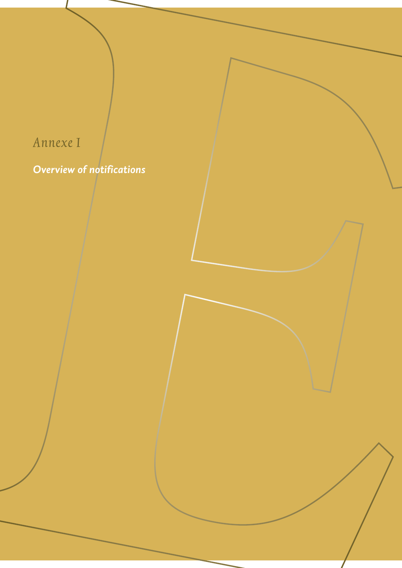# Annexe I *Overview of notifications*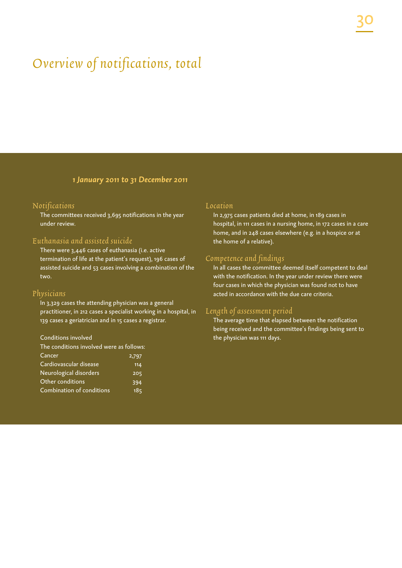# Overview of notifications, total

*1 January 2011 to 31 December 2011*

#### Notifications

The committees received 3,695 notifications in the year under review.

#### Euthanasia and assisted suicide

There were 3,446 cases of euthanasia (i.e. active termination of life at the patient's request), 196 cases of assisted suicide and 53 cases involving a combination of the two.

#### Physicians

In 3,329 cases the attending physician was a general practitioner, in 212 cases a specialist working in a hospital, in 139 cases a geriatrician and in 15 cases a registrar.

#### Conditions involved

| The conditions involved were as follows: |       |
|------------------------------------------|-------|
| Cancer                                   | 2,797 |
| Cardiovascular disease                   | 114   |
| Neurological disorders                   | 205   |
| Other conditions                         | 394   |
| Combination of conditions                | 185   |

#### Location

In 2,975 cases patients died at home, in 189 cases in hospital, in 111 cases in a nursing home, in 172 cases in a care home, and in 248 cases elsewhere (e.g. in a hospice or at the home of a relative).

#### Competence and findings

In all cases the committee deemed itself competent to deal with the notification. In the year under review there were four cases in which the physician was found not to have acted in accordance with the due care criteria.

#### Length of assessment period

The average time that elapsed between the notification being received and the committee's findings being sent to the physician was 111 days.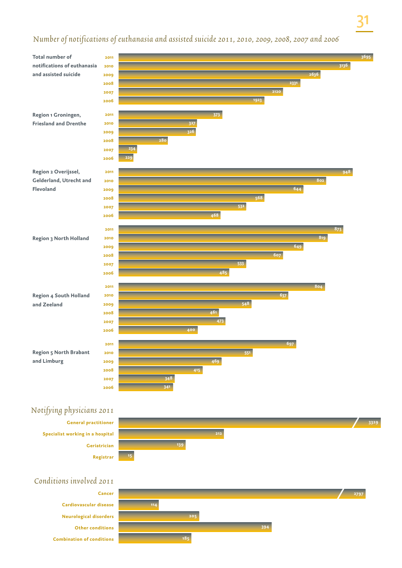## number of notifications of euthanasia and assisted suicide 2011, 2010, 2009, 2008, 2007 and 2006



## Notifying physicians 2011

**General practitioner Specialist working in a hospital Geriatrician Registrar**



## Conditions involved 2011

**Cardiovascular disease Neurological disorders Other conditions Combination of conditions**

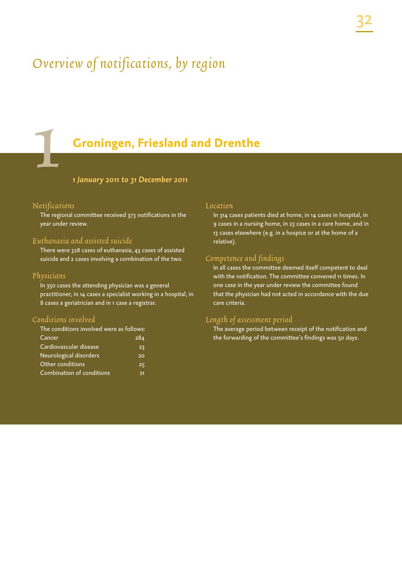# Overview of notifications, by region

# **Groningen, Friesland and Drenthe**

#### *1 January 2011 to 31 December 2011*

#### Notifications

1

The regional committee received 373 notifications in the year under review.

#### Euthanasia and assisted suicide

There were 328 cases of euthanasia, 43 cases of assisted suicide and 2 cases involving a combination of the two.

#### Physicians

In 350 cases the attending physician was a general practitioner, in 14 cases a specialist working in a hospital, in 8 cases a geriatrician and in 1 case a registrar.

#### Conditions involved

| The conditions involved were as follows: |     |
|------------------------------------------|-----|
| <b>Cancer</b>                            | 284 |
| Cardiovascular disease                   | 23  |
| Neurological disorders                   | 20  |
| Other conditions                         | 25  |
| Combination of conditions                | 21  |
|                                          |     |

#### Location

In 314 cases patients died at home, in 14 cases in hospital, in 9 cases in a nursing home, in 23 cases in a care home, and in 13 cases elsewhere (e.g. in a hospice or at the home of a relative).

#### Competence and findings

In all cases the committee deemed itself competent to deal with the notification. The committee convened 11 times. In one case in the year under review the committee found that the physician had not acted in accordance with the due care criteria.

#### Length of assessment period

The average period between receipt of the notification and the forwarding of the committee's findings was 50 days.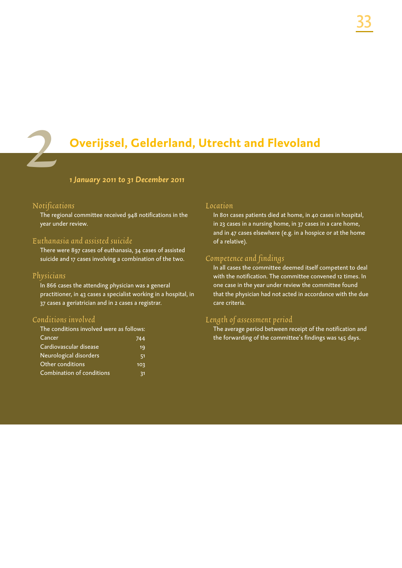

# **Overijssel, Gelderland, Utrecht and Flevoland**

#### *1 January 2011 to 31 December 2011*

#### Notifications

The regional committee received 948 notifications in the year under review.

#### Euthanasia and assisted suicide

There were 897 cases of euthanasia, 34 cases of assisted suicide and 17 cases involving a combination of the two.

#### Physicians

In 866 cases the attending physician was a general practitioner, in 43 cases a specialist working in a hospital, in 37 cases a geriatrician and in 2 cases a registrar.

#### Conditions involved

| The conditions involved were as follows: |     |
|------------------------------------------|-----|
| Cancer                                   | 744 |
| Cardiovascular disease                   | 19  |
| Neurological disorders                   | 51  |
| Other conditions                         | 103 |
| Combination of conditions                | 31  |

#### Location

In 801 cases patients died at home, in 40 cases in hospital, in 23 cases in a nursing home, in 37 cases in a care home, and in 47 cases elsewhere (e.g. in a hospice or at the home of a relative).

#### Competence and findings

In all cases the committee deemed itself competent to deal with the notification. The committee convened 12 times. In one case in the year under review the committee found that the physician had not acted in accordance with the due care criteria.

#### Length of assessment period

The average period between receipt of the notification and the forwarding of the committee's findings was 145 days.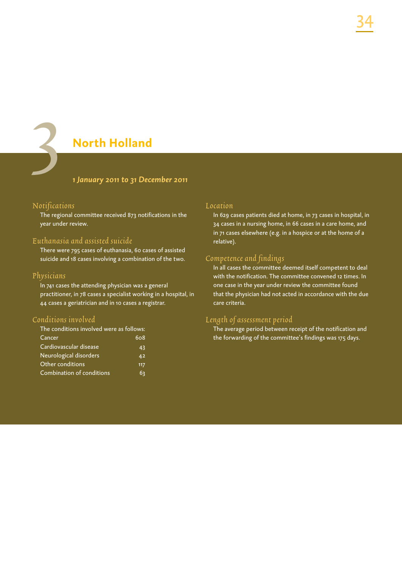# **North Holland**

#### *1 January 2011 to 31 December 2011*

#### Notifications

3

The regional committee received 873 notifications in the year under review.

#### Euthanasia and assisted suicide

There were 795 cases of euthanasia, 60 cases of assisted suicide and 18 cases involving a combination of the two.

#### Physicians

In 741 cases the attending physician was a general practitioner, in 78 cases a specialist working in a hospital, in 44 cases a geriatrician and in 10 cases a registrar.

#### Conditions involved

| The conditions involved were as follows: |     |
|------------------------------------------|-----|
| Cancer                                   | 608 |
| Cardiovascular disease                   | 43  |
| Neurological disorders                   | 42  |
| Other conditions                         | 117 |
| Combination of conditions                | 63  |
|                                          |     |

#### Location

In 629 cases patients died at home, in 73 cases in hospital, in 34 cases in a nursing home, in 66 cases in a care home, and in 71 cases elsewhere (e.g. in a hospice or at the home of a relative).

#### Competence and findings

In all cases the committee deemed itself competent to deal with the notification. The committee convened 12 times. In one case in the year under review the committee found that the physician had not acted in accordance with the due care criteria.

#### Length of assessment period

The average period between receipt of the notification and the forwarding of the committee's findings was 175 days.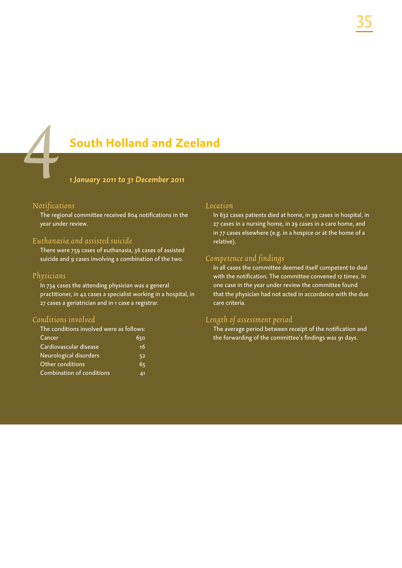**South Holland and Zeeland**

*1 January 2011 to 31 December 2011*

#### Notifications

4

The regional committee received 804 notifications in the year under review.

#### Euthanasia and assisted suicide

There were 759 cases of euthanasia, 36 cases of assisted suicide and 9 cases involving a combination of the two.

#### Physicians

In 734 cases the attending physician was a general practitioner, in 42 cases a specialist working in a hospital, in 27 cases a geriatrician and in 1 case a registrar.

#### Conditions involved

| The conditions involved were as follows: |     |
|------------------------------------------|-----|
| Cancer                                   | 630 |
| Cardiovascular disease                   | 16  |
| Neurological disorders                   | 52  |
| Other conditions                         | 65  |
| Combination of conditions                | 41  |
|                                          |     |

#### Location

In 632 cases patients died at home, in 39 cases in hospital, in 27 cases in a nursing home, in 29 cases in a care home, and in 77 cases elsewhere (e.g. in a hospice or at the home of a relative).

#### Competence and findings

In all cases the committee deemed itself competent to deal with the notification. The committee convened 12 times. In one case in the year under review the committee found that the physician had not acted in accordance with the due care criteria.

#### Length of assessment period

The average period between receipt of the notification and the forwarding of the committee's findings was 91 days.